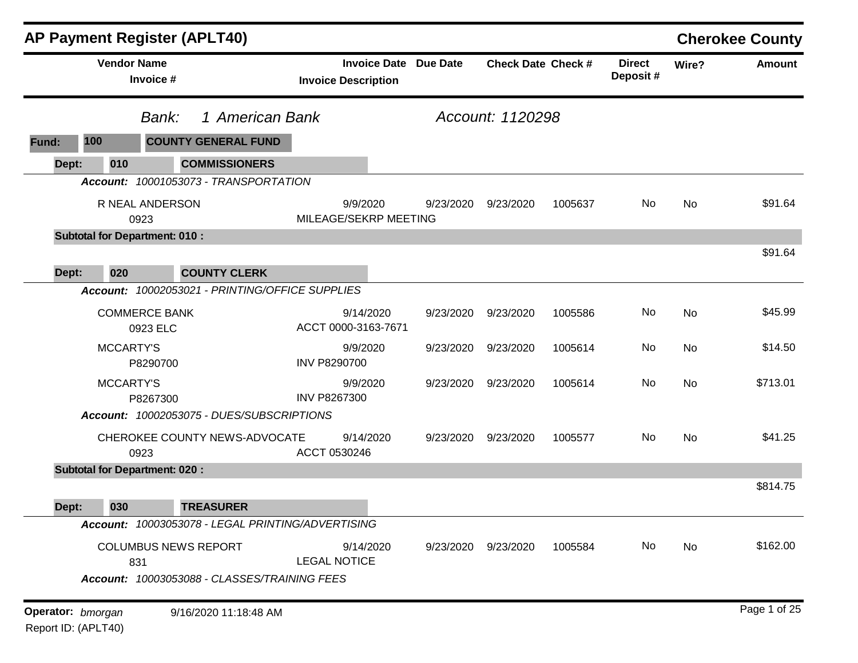|                                          |                    | <b>AP Payment Register (APLT40)</b>                                                |                                                            |           |                           |         |                           |           | <b>Cherokee County</b> |
|------------------------------------------|--------------------|------------------------------------------------------------------------------------|------------------------------------------------------------|-----------|---------------------------|---------|---------------------------|-----------|------------------------|
|                                          | <b>Vendor Name</b> | Invoice #                                                                          | <b>Invoice Date Due Date</b><br><b>Invoice Description</b> |           | <b>Check Date Check #</b> |         | <b>Direct</b><br>Deposit# | Wire?     | <b>Amount</b>          |
|                                          |                    | 1 American Bank<br>Bank:                                                           |                                                            |           | Account: 1120298          |         |                           |           |                        |
| Fund:                                    | 100                | <b>COUNTY GENERAL FUND</b>                                                         |                                                            |           |                           |         |                           |           |                        |
| Dept:                                    | 010                | <b>COMMISSIONERS</b>                                                               |                                                            |           |                           |         |                           |           |                        |
|                                          |                    | Account: 10001053073 - TRANSPORTATION                                              |                                                            |           |                           |         |                           |           |                        |
|                                          |                    | R NEAL ANDERSON<br>0923                                                            | 9/9/2020<br>MILEAGE/SEKRP MEETING                          | 9/23/2020 | 9/23/2020                 | 1005637 | No                        | <b>No</b> | \$91.64                |
|                                          |                    | <b>Subtotal for Department: 010:</b>                                               |                                                            |           |                           |         |                           |           |                        |
| Dept:                                    | 020                | <b>COUNTY CLERK</b>                                                                |                                                            |           |                           |         |                           |           | \$91.64                |
|                                          | <b>Account:</b>    | 10002053021 - PRINTING/OFFICE SUPPLIES                                             |                                                            |           |                           |         |                           |           |                        |
|                                          |                    | <b>COMMERCE BANK</b><br>0923 ELC                                                   | 9/14/2020<br>ACCT 0000-3163-7671                           | 9/23/2020 | 9/23/2020                 | 1005586 | No                        | <b>No</b> | \$45.99                |
|                                          | <b>MCCARTY'S</b>   | P8290700                                                                           | 9/9/2020<br><b>INV P8290700</b>                            | 9/23/2020 | 9/23/2020                 | 1005614 | No                        | <b>No</b> | \$14.50                |
|                                          | MCCARTY'S          | P8267300                                                                           | 9/9/2020<br><b>INV P8267300</b>                            | 9/23/2020 | 9/23/2020                 | 1005614 | No                        | <b>No</b> | \$713.01               |
|                                          |                    | Account: 10002053075 - DUES/SUBSCRIPTIONS                                          |                                                            |           |                           |         |                           |           |                        |
|                                          |                    | CHEROKEE COUNTY NEWS-ADVOCATE<br>0923                                              | 9/14/2020<br>ACCT 0530246                                  | 9/23/2020 | 9/23/2020                 | 1005577 | No                        | <b>No</b> | \$41.25                |
|                                          |                    | <b>Subtotal for Department: 020:</b>                                               |                                                            |           |                           |         |                           |           |                        |
| Dept:                                    | 030                | <b>TREASURER</b>                                                                   |                                                            |           |                           |         |                           |           | \$814.75               |
|                                          |                    | Account: 10003053078 - LEGAL PRINTING/ADVERTISING                                  |                                                            |           |                           |         |                           |           |                        |
|                                          |                    | <b>COLUMBUS NEWS REPORT</b><br>831<br>Account: 10003053088 - CLASSES/TRAINING FEES | 9/14/2020<br><b>LEGAL NOTICE</b>                           | 9/23/2020 | 9/23/2020                 | 1005584 | No                        | No        | \$162.00               |
|                                          |                    |                                                                                    |                                                            |           |                           |         |                           |           |                        |
| Operator: bmorgan<br>Report ID: (APLT40) |                    | 9/16/2020 11:18:48 AM                                                              |                                                            |           |                           |         |                           |           | Page 1 of 25           |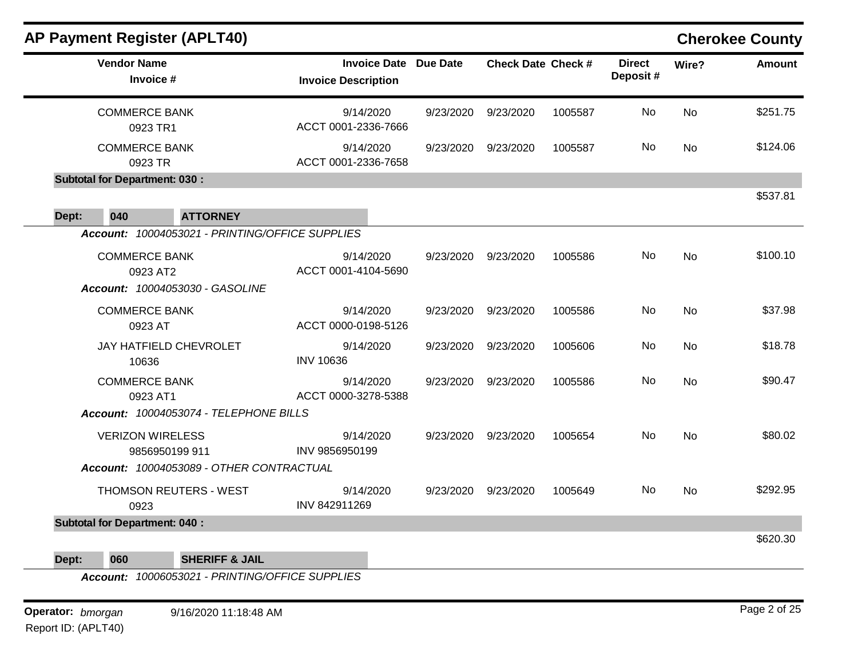| <b>AP Payment Register (APLT40)</b>                                                |                                                            |           |                           |         |                           |           | <b>Cherokee County</b> |
|------------------------------------------------------------------------------------|------------------------------------------------------------|-----------|---------------------------|---------|---------------------------|-----------|------------------------|
| <b>Vendor Name</b><br>Invoice #                                                    | <b>Invoice Date Due Date</b><br><b>Invoice Description</b> |           | <b>Check Date Check #</b> |         | <b>Direct</b><br>Deposit# | Wire?     | <b>Amount</b>          |
| <b>COMMERCE BANK</b><br>0923 TR1                                                   | 9/14/2020<br>ACCT 0001-2336-7666                           | 9/23/2020 | 9/23/2020                 | 1005587 | No                        | <b>No</b> | \$251.75               |
| <b>COMMERCE BANK</b><br>0923 TR                                                    | 9/14/2020<br>ACCT 0001-2336-7658                           | 9/23/2020 | 9/23/2020                 | 1005587 | No                        | <b>No</b> | \$124.06               |
| <b>Subtotal for Department: 030:</b>                                               |                                                            |           |                           |         |                           |           |                        |
|                                                                                    |                                                            |           |                           |         |                           |           | \$537.81               |
| 040<br><b>ATTORNEY</b><br>Dept:<br>Account: 10004053021 - PRINTING/OFFICE SUPPLIES |                                                            |           |                           |         |                           |           |                        |
| <b>COMMERCE BANK</b><br>0923 AT2<br>Account: 10004053030 - GASOLINE                | 9/14/2020<br>ACCT 0001-4104-5690                           | 9/23/2020 | 9/23/2020                 | 1005586 | No                        | <b>No</b> | \$100.10               |
| <b>COMMERCE BANK</b><br>0923 AT                                                    | 9/14/2020<br>ACCT 0000-0198-5126                           | 9/23/2020 | 9/23/2020                 | 1005586 | No.                       | No        | \$37.98                |
| JAY HATFIELD CHEVROLET<br>10636                                                    | 9/14/2020<br><b>INV 10636</b>                              | 9/23/2020 | 9/23/2020                 | 1005606 | No                        | No        | \$18.78                |
| <b>COMMERCE BANK</b><br>0923 AT1                                                   | 9/14/2020<br>ACCT 0000-3278-5388                           | 9/23/2020 | 9/23/2020                 | 1005586 | No                        | <b>No</b> | \$90.47                |
| Account: 10004053074 - TELEPHONE BILLS                                             |                                                            |           |                           |         |                           |           |                        |
| <b>VERIZON WIRELESS</b><br>9856950199 911                                          | 9/14/2020<br>INV 9856950199                                | 9/23/2020 | 9/23/2020                 | 1005654 | No.                       | No        | \$80.02                |
| Account: 10004053089 - OTHER CONTRACTUAL                                           |                                                            |           |                           |         |                           |           |                        |
| THOMSON REUTERS - WEST<br>0923                                                     | 9/14/2020<br>INV 842911269                                 | 9/23/2020 | 9/23/2020                 | 1005649 | No                        | No        | \$292.95               |
| <b>Subtotal for Department: 040:</b>                                               |                                                            |           |                           |         |                           |           | \$620.30               |
| 060<br><b>SHERIFF &amp; JAIL</b><br>Dept:                                          |                                                            |           |                           |         |                           |           |                        |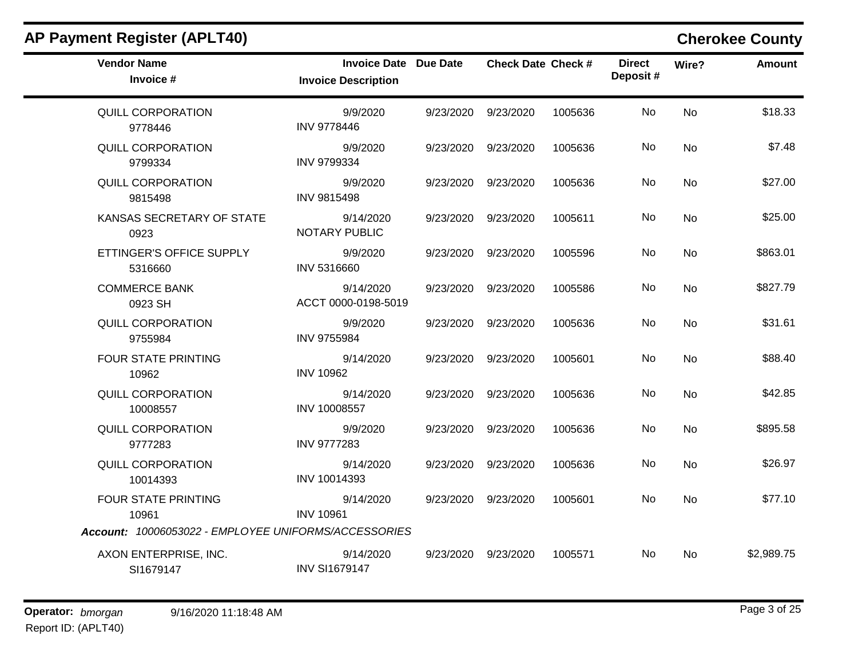| <b>AP Payment Register (APLT40)</b>                  |                                                            |           |                           |         |                           |           | <b>Cherokee County</b> |
|------------------------------------------------------|------------------------------------------------------------|-----------|---------------------------|---------|---------------------------|-----------|------------------------|
| <b>Vendor Name</b><br>Invoice #                      | <b>Invoice Date Due Date</b><br><b>Invoice Description</b> |           | <b>Check Date Check #</b> |         | <b>Direct</b><br>Deposit# | Wire?     | <b>Amount</b>          |
| <b>QUILL CORPORATION</b><br>9778446                  | 9/9/2020<br><b>INV 9778446</b>                             |           | 9/23/2020 9/23/2020       | 1005636 | No.                       | <b>No</b> | \$18.33                |
| <b>QUILL CORPORATION</b><br>9799334                  | 9/9/2020<br><b>INV 9799334</b>                             |           | 9/23/2020 9/23/2020       | 1005636 | No.                       | No        | \$7.48                 |
| QUILL CORPORATION<br>9815498                         | 9/9/2020<br><b>INV 9815498</b>                             | 9/23/2020 | 9/23/2020                 | 1005636 | No.                       | <b>No</b> | \$27.00                |
| KANSAS SECRETARY OF STATE<br>0923                    | 9/14/2020<br>NOTARY PUBLIC                                 |           | 9/23/2020 9/23/2020       | 1005611 | No.                       | <b>No</b> | \$25.00                |
| ETTINGER'S OFFICE SUPPLY<br>5316660                  | 9/9/2020<br><b>INV 5316660</b>                             | 9/23/2020 | 9/23/2020                 | 1005596 | No                        | No        | \$863.01               |
| <b>COMMERCE BANK</b><br>0923 SH                      | 9/14/2020<br>ACCT 0000-0198-5019                           | 9/23/2020 | 9/23/2020                 | 1005586 | No                        | No        | \$827.79               |
| QUILL CORPORATION<br>9755984                         | 9/9/2020<br><b>INV 9755984</b>                             | 9/23/2020 | 9/23/2020                 | 1005636 | No                        | No        | \$31.61                |
| FOUR STATE PRINTING<br>10962                         | 9/14/2020<br><b>INV 10962</b>                              | 9/23/2020 | 9/23/2020                 | 1005601 | No                        | No        | \$88.40                |
| <b>QUILL CORPORATION</b><br>10008557                 | 9/14/2020<br>INV 10008557                                  | 9/23/2020 | 9/23/2020                 | 1005636 | No                        | <b>No</b> | \$42.85                |
| QUILL CORPORATION<br>9777283                         | 9/9/2020<br><b>INV 9777283</b>                             | 9/23/2020 | 9/23/2020                 | 1005636 | No                        | No        | \$895.58               |
| <b>QUILL CORPORATION</b><br>10014393                 | 9/14/2020<br>INV 10014393                                  | 9/23/2020 | 9/23/2020                 | 1005636 | No.                       | No        | \$26.97                |
| <b>FOUR STATE PRINTING</b><br>10961                  | 9/14/2020<br><b>INV 10961</b>                              |           | 9/23/2020 9/23/2020       | 1005601 | No                        | No        | \$77.10                |
| Account: 10006053022 - EMPLOYEE UNIFORMS/ACCESSORIES |                                                            |           |                           |         |                           |           |                        |
| AXON ENTERPRISE, INC.<br>SI1679147                   | 9/14/2020<br><b>INV SI1679147</b>                          | 9/23/2020 | 9/23/2020                 | 1005571 | No                        | No        | \$2,989.75             |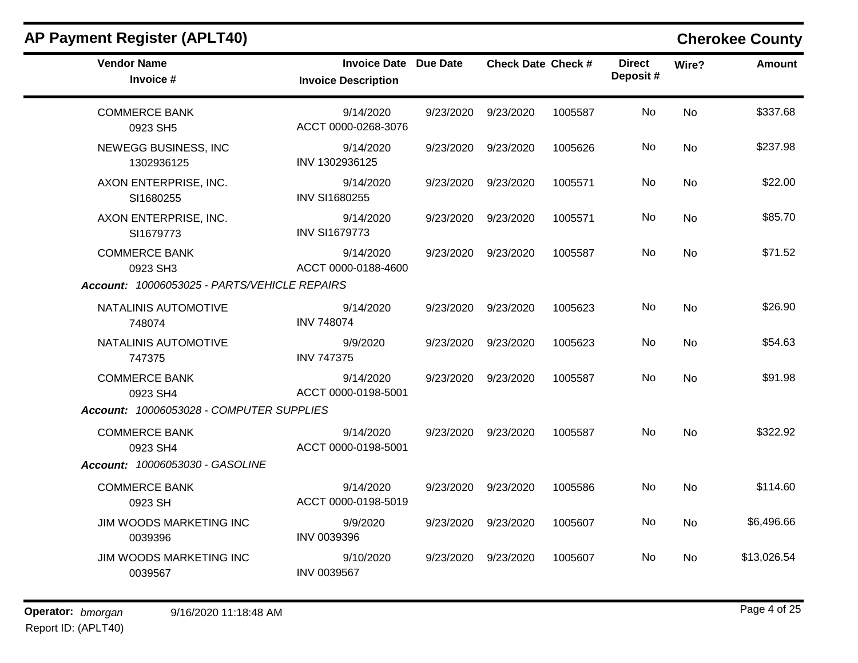| <b>AP Payment Register (APLT40)</b>          |                                                            |           |                           |         |                           |                | <b>Cherokee County</b> |
|----------------------------------------------|------------------------------------------------------------|-----------|---------------------------|---------|---------------------------|----------------|------------------------|
| <b>Vendor Name</b><br>Invoice #              | <b>Invoice Date Due Date</b><br><b>Invoice Description</b> |           | <b>Check Date Check #</b> |         | <b>Direct</b><br>Deposit# | Wire?          | <b>Amount</b>          |
| <b>COMMERCE BANK</b><br>0923 SH5             | 9/14/2020<br>ACCT 0000-0268-3076                           | 9/23/2020 | 9/23/2020                 | 1005587 | No                        | <b>No</b>      | \$337.68               |
| NEWEGG BUSINESS, INC<br>1302936125           | 9/14/2020<br>INV 1302936125                                |           | 9/23/2020 9/23/2020       | 1005626 | No                        | No             | \$237.98               |
| AXON ENTERPRISE, INC.<br>SI1680255           | 9/14/2020<br><b>INV SI1680255</b>                          | 9/23/2020 | 9/23/2020                 | 1005571 | No                        | <b>No</b>      | \$22.00                |
| AXON ENTERPRISE, INC.<br>SI1679773           | 9/14/2020<br><b>INV SI1679773</b>                          |           | 9/23/2020 9/23/2020       | 1005571 | No.                       | No             | \$85.70                |
| <b>COMMERCE BANK</b><br>0923 SH3             | 9/14/2020<br>ACCT 0000-0188-4600                           | 9/23/2020 | 9/23/2020                 | 1005587 | No.                       | No             | \$71.52                |
| Account: 10006053025 - PARTS/VEHICLE REPAIRS |                                                            |           |                           |         |                           |                |                        |
| NATALINIS AUTOMOTIVE<br>748074               | 9/14/2020<br><b>INV 748074</b>                             |           | 9/23/2020 9/23/2020       | 1005623 | No                        | <b>No</b>      | \$26.90                |
| NATALINIS AUTOMOTIVE<br>747375               | 9/9/2020<br><b>INV 747375</b>                              | 9/23/2020 | 9/23/2020                 | 1005623 | No.                       | <b>No</b>      | \$54.63                |
| <b>COMMERCE BANK</b><br>0923 SH4             | 9/14/2020<br>ACCT 0000-0198-5001                           | 9/23/2020 | 9/23/2020                 | 1005587 | No.                       | No             | \$91.98                |
| Account: 10006053028 - COMPUTER SUPPLIES     |                                                            |           |                           |         |                           |                |                        |
| <b>COMMERCE BANK</b><br>0923 SH4             | 9/14/2020<br>ACCT 0000-0198-5001                           |           | 9/23/2020 9/23/2020       | 1005587 | No                        | <b>No</b>      | \$322.92               |
| <b>Account: 10006053030 - GASOLINE</b>       |                                                            |           |                           |         |                           |                |                        |
| <b>COMMERCE BANK</b><br>0923 SH              | 9/14/2020<br>ACCT 0000-0198-5019                           | 9/23/2020 | 9/23/2020                 | 1005586 | No.                       | <b>No</b>      | \$114.60               |
| JIM WOODS MARKETING INC<br>0039396           | 9/9/2020<br>INV 0039396                                    | 9/23/2020 | 9/23/2020                 | 1005607 | No.                       | No             | \$6,496.66             |
| JIM WOODS MARKETING INC<br>0039567           | 9/10/2020<br><b>INV 0039567</b>                            | 9/23/2020 | 9/23/2020                 | 1005607 | No.                       | N <sub>o</sub> | \$13,026.54            |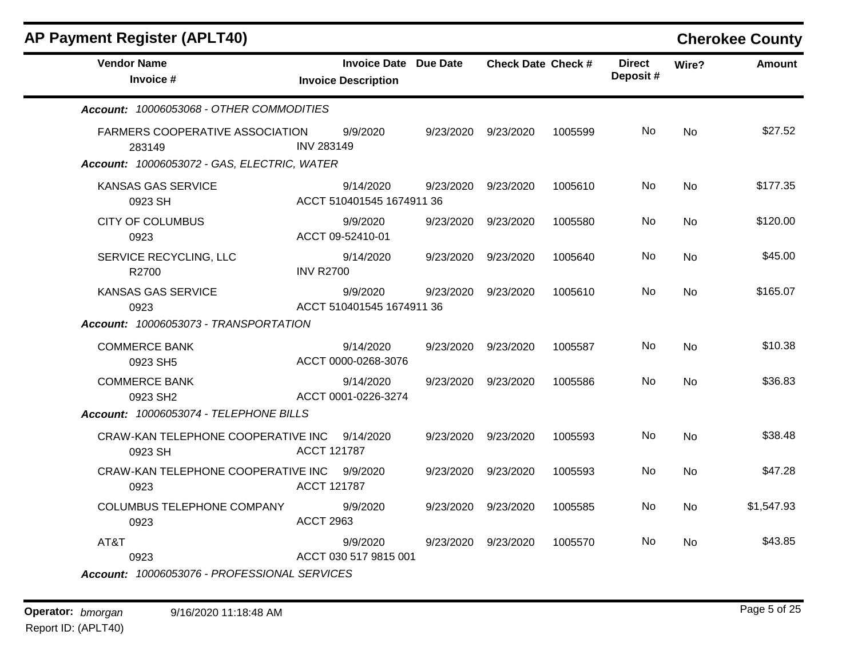| <b>AP Payment Register (APLT40)</b>              |                   |                                                            |           |                           |         |                           |           | <b>Cherokee County</b> |
|--------------------------------------------------|-------------------|------------------------------------------------------------|-----------|---------------------------|---------|---------------------------|-----------|------------------------|
| <b>Vendor Name</b><br>Invoice #                  |                   | <b>Invoice Date Due Date</b><br><b>Invoice Description</b> |           | <b>Check Date Check #</b> |         | <b>Direct</b><br>Deposit# | Wire?     | <b>Amount</b>          |
| Account: 10006053068 - OTHER COMMODITIES         |                   |                                                            |           |                           |         |                           |           |                        |
| <b>FARMERS COOPERATIVE ASSOCIATION</b><br>283149 | <b>INV 283149</b> | 9/9/2020                                                   | 9/23/2020 | 9/23/2020                 | 1005599 | No.                       | <b>No</b> | \$27.52                |
| Account: 10006053072 - GAS, ELECTRIC, WATER      |                   |                                                            |           |                           |         |                           |           |                        |
| KANSAS GAS SERVICE<br>0923 SH                    |                   | 9/14/2020<br>ACCT 510401545 1674911 36                     | 9/23/2020 | 9/23/2020                 | 1005610 | No                        | <b>No</b> | \$177.35               |
| <b>CITY OF COLUMBUS</b><br>0923                  |                   | 9/9/2020<br>ACCT 09-52410-01                               | 9/23/2020 | 9/23/2020                 | 1005580 | No                        | <b>No</b> | \$120.00               |
| SERVICE RECYCLING, LLC<br>R2700                  | <b>INV R2700</b>  | 9/14/2020                                                  | 9/23/2020 | 9/23/2020                 | 1005640 | No                        | <b>No</b> | \$45.00                |
| <b>KANSAS GAS SERVICE</b><br>0923                |                   | 9/9/2020<br>ACCT 510401545 1674911 36                      | 9/23/2020 | 9/23/2020                 | 1005610 | No.                       | No        | \$165.07               |
| Account: 10006053073 - TRANSPORTATION            |                   |                                                            |           |                           |         |                           |           |                        |
| <b>COMMERCE BANK</b><br>0923 SH5                 |                   | 9/14/2020<br>ACCT 0000-0268-3076                           | 9/23/2020 | 9/23/2020                 | 1005587 | No                        | <b>No</b> | \$10.38                |
| <b>COMMERCE BANK</b><br>0923 SH2                 |                   | 9/14/2020<br>ACCT 0001-0226-3274                           | 9/23/2020 | 9/23/2020                 | 1005586 | No.                       | No        | \$36.83                |
| Account: 10006053074 - TELEPHONE BILLS           |                   |                                                            |           |                           |         |                           |           |                        |
| CRAW-KAN TELEPHONE COOPERATIVE INC<br>0923 SH    | ACCT 121787       | 9/14/2020                                                  | 9/23/2020 | 9/23/2020                 | 1005593 | No                        | <b>No</b> | \$38.48                |
| CRAW-KAN TELEPHONE COOPERATIVE INC<br>0923       | ACCT 121787       | 9/9/2020                                                   | 9/23/2020 | 9/23/2020                 | 1005593 | No.                       | No        | \$47.28                |
| COLUMBUS TELEPHONE COMPANY<br>0923               | <b>ACCT 2963</b>  | 9/9/2020                                                   | 9/23/2020 | 9/23/2020                 | 1005585 | No.                       | No        | \$1,547.93             |
| AT&T<br>0923                                     |                   | 9/9/2020<br>ACCT 030 517 9815 001                          | 9/23/2020 | 9/23/2020                 | 1005570 | No.                       | No        | \$43.85                |
| Account: 10006053076 - PROFESSIONAL SERVICES     |                   |                                                            |           |                           |         |                           |           |                        |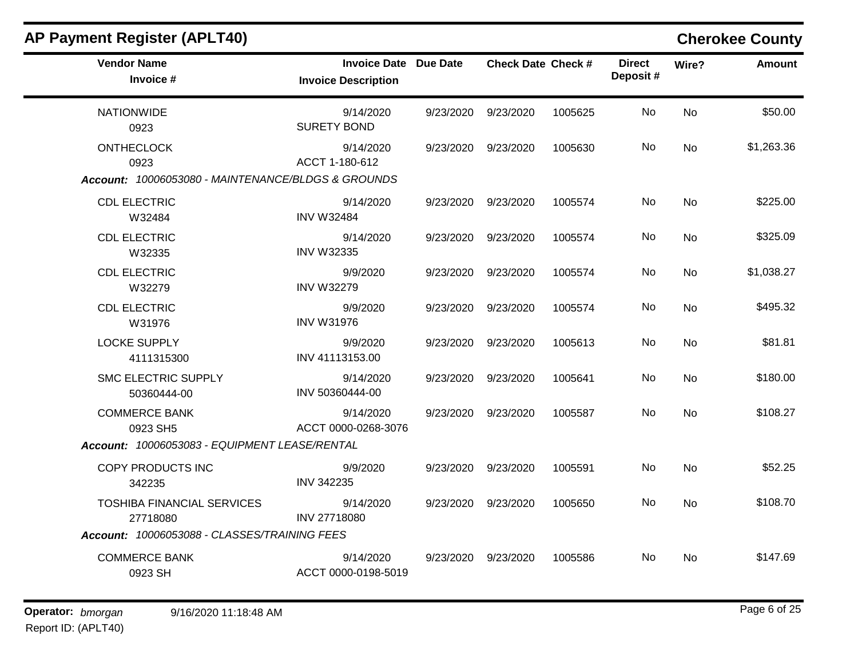| <b>Vendor Name</b><br>Invoice #                    | <b>Invoice Date Due Date</b><br><b>Invoice Description</b> |                     | <b>Check Date Check #</b> |         | <b>Direct</b><br>Deposit# | Wire?     | <b>Amount</b> |
|----------------------------------------------------|------------------------------------------------------------|---------------------|---------------------------|---------|---------------------------|-----------|---------------|
| <b>NATIONWIDE</b><br>0923                          | 9/14/2020<br><b>SURETY BOND</b>                            | 9/23/2020 9/23/2020 |                           | 1005625 | No                        | <b>No</b> | \$50.00       |
| <b>ONTHECLOCK</b><br>0923                          | 9/14/2020<br>ACCT 1-180-612                                | 9/23/2020 9/23/2020 |                           | 1005630 | No.                       | No        | \$1,263.36    |
| Account: 10006053080 - MAINTENANCE/BLDGS & GROUNDS |                                                            |                     |                           |         |                           |           |               |
| <b>CDL ELECTRIC</b><br>W32484                      | 9/14/2020<br><b>INV W32484</b>                             |                     | 9/23/2020 9/23/2020       | 1005574 | No.                       | No        | \$225.00      |
| <b>CDL ELECTRIC</b><br>W32335                      | 9/14/2020<br><b>INV W32335</b>                             | 9/23/2020 9/23/2020 |                           | 1005574 | No                        | No        | \$325.09      |
| <b>CDL ELECTRIC</b><br>W32279                      | 9/9/2020<br><b>INV W32279</b>                              | 9/23/2020 9/23/2020 |                           | 1005574 | No                        | No        | \$1,038.27    |
| <b>CDL ELECTRIC</b><br>W31976                      | 9/9/2020<br><b>INV W31976</b>                              | 9/23/2020 9/23/2020 |                           | 1005574 | No                        | No        | \$495.32      |
| <b>LOCKE SUPPLY</b><br>4111315300                  | 9/9/2020<br>INV 41113153.00                                | 9/23/2020 9/23/2020 |                           | 1005613 | No                        | <b>No</b> | \$81.81       |
| <b>SMC ELECTRIC SUPPLY</b><br>50360444-00          | 9/14/2020<br>INV 50360444-00                               | 9/23/2020 9/23/2020 |                           | 1005641 | No.                       | No        | \$180.00      |
| <b>COMMERCE BANK</b><br>0923 SH5                   | 9/14/2020<br>ACCT 0000-0268-3076                           | 9/23/2020 9/23/2020 |                           | 1005587 | No                        | <b>No</b> | \$108.27      |
| Account: 10006053083 - EQUIPMENT LEASE/RENTAL      |                                                            |                     |                           |         |                           |           |               |
| COPY PRODUCTS INC<br>342235                        | 9/9/2020<br>INV 342235                                     | 9/23/2020 9/23/2020 |                           | 1005591 | No                        | <b>No</b> | \$52.25       |
| <b>TOSHIBA FINANCIAL SERVICES</b><br>27718080      | 9/14/2020<br>INV 27718080                                  | 9/23/2020 9/23/2020 |                           | 1005650 | No.                       | No        | \$108.70      |
| Account: 10006053088 - CLASSES/TRAINING FEES       |                                                            |                     |                           |         |                           |           |               |
| <b>COMMERCE BANK</b><br>0923 SH                    | 9/14/2020<br>ACCT 0000-0198-5019                           |                     | 9/23/2020 9/23/2020       | 1005586 | No.                       | <b>No</b> | \$147.69      |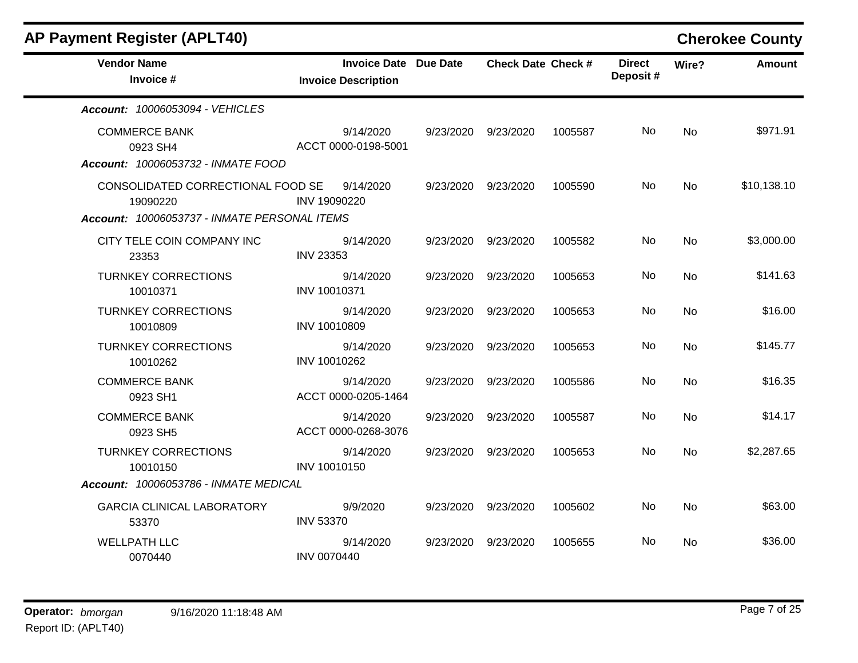| <b>AP Payment Register (APLT40)</b>                                    |                                                            |           |                           |         |                           |           | <b>Cherokee County</b> |
|------------------------------------------------------------------------|------------------------------------------------------------|-----------|---------------------------|---------|---------------------------|-----------|------------------------|
| <b>Vendor Name</b><br>Invoice #                                        | <b>Invoice Date Due Date</b><br><b>Invoice Description</b> |           | <b>Check Date Check #</b> |         | <b>Direct</b><br>Deposit# | Wire?     | <b>Amount</b>          |
| Account: 10006053094 - VEHICLES                                        |                                                            |           |                           |         |                           |           |                        |
| <b>COMMERCE BANK</b><br>0923 SH4<br>Account: 10006053732 - INMATE FOOD | 9/14/2020<br>ACCT 0000-0198-5001                           | 9/23/2020 | 9/23/2020                 | 1005587 | No.                       | <b>No</b> | \$971.91               |
| CONSOLIDATED CORRECTIONAL FOOD SE<br>19090220                          | 9/14/2020<br>INV 19090220                                  | 9/23/2020 | 9/23/2020                 | 1005590 | No.                       | <b>No</b> | \$10,138.10            |
| Account: 10006053737 - INMATE PERSONAL ITEMS                           |                                                            |           |                           |         |                           |           |                        |
| CITY TELE COIN COMPANY INC<br>23353                                    | 9/14/2020<br><b>INV 23353</b>                              | 9/23/2020 | 9/23/2020                 | 1005582 | No                        | <b>No</b> | \$3,000.00             |
| <b>TURNKEY CORRECTIONS</b><br>10010371                                 | 9/14/2020<br>INV 10010371                                  | 9/23/2020 | 9/23/2020                 | 1005653 | No                        | <b>No</b> | \$141.63               |
| <b>TURNKEY CORRECTIONS</b><br>10010809                                 | 9/14/2020<br>INV 10010809                                  | 9/23/2020 | 9/23/2020                 | 1005653 | No.                       | No        | \$16.00                |
| <b>TURNKEY CORRECTIONS</b><br>10010262                                 | 9/14/2020<br>INV 10010262                                  | 9/23/2020 | 9/23/2020                 | 1005653 | No.                       | No        | \$145.77               |
| <b>COMMERCE BANK</b><br>0923 SH1                                       | 9/14/2020<br>ACCT 0000-0205-1464                           | 9/23/2020 | 9/23/2020                 | 1005586 | No                        | <b>No</b> | \$16.35                |
| <b>COMMERCE BANK</b><br>0923 SH5                                       | 9/14/2020<br>ACCT 0000-0268-3076                           | 9/23/2020 | 9/23/2020                 | 1005587 | No                        | <b>No</b> | \$14.17                |
| <b>TURNKEY CORRECTIONS</b><br>10010150                                 | 9/14/2020<br>INV 10010150                                  | 9/23/2020 | 9/23/2020                 | 1005653 | No                        | No        | \$2,287.65             |
| Account: 10006053786 - INMATE MEDICAL                                  |                                                            |           |                           |         |                           |           |                        |
| <b>GARCIA CLINICAL LABORATORY</b><br>53370                             | 9/9/2020<br><b>INV 53370</b>                               | 9/23/2020 | 9/23/2020                 | 1005602 | No.                       | <b>No</b> | \$63.00                |
| <b>WELLPATH LLC</b><br>0070440                                         | 9/14/2020<br><b>INV 0070440</b>                            | 9/23/2020 | 9/23/2020                 | 1005655 | No.                       | <b>No</b> | \$36.00                |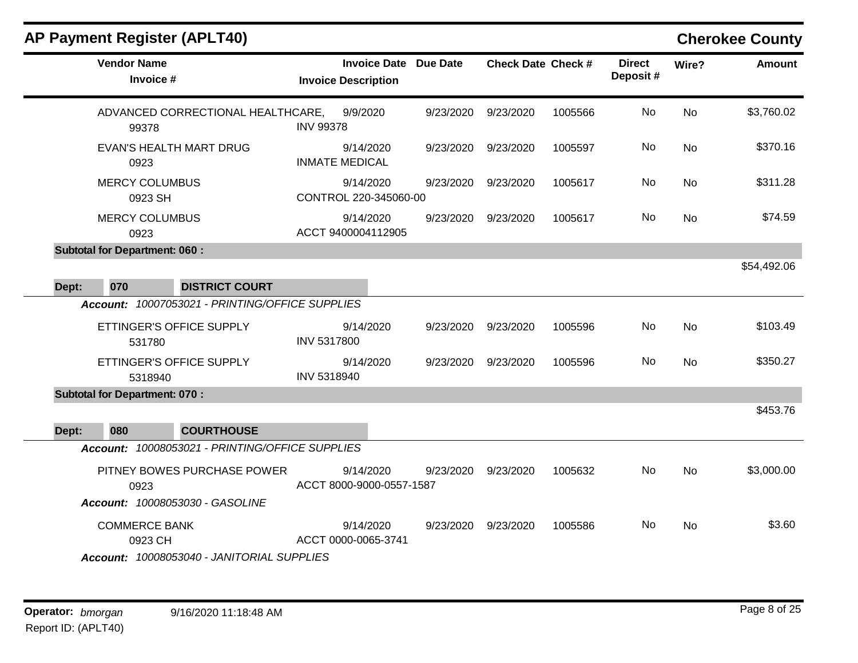|       |                                      | <b>AP Payment Register (APLT40)</b>                            |                    |                                                            |           |                           |         |                           |           | <b>Cherokee County</b> |
|-------|--------------------------------------|----------------------------------------------------------------|--------------------|------------------------------------------------------------|-----------|---------------------------|---------|---------------------------|-----------|------------------------|
|       | <b>Vendor Name</b><br>Invoice #      |                                                                |                    | <b>Invoice Date Due Date</b><br><b>Invoice Description</b> |           | <b>Check Date Check #</b> |         | <b>Direct</b><br>Deposit# | Wire?     | <b>Amount</b>          |
|       | 99378                                | ADVANCED CORRECTIONAL HEALTHCARE,                              | <b>INV 99378</b>   | 9/9/2020                                                   | 9/23/2020 | 9/23/2020                 | 1005566 | <b>No</b>                 | <b>No</b> | \$3,760.02             |
|       | 0923                                 | <b>EVAN'S HEALTH MART DRUG</b>                                 |                    | 9/14/2020<br><b>INMATE MEDICAL</b>                         | 9/23/2020 | 9/23/2020                 | 1005597 | No.                       | No        | \$370.16               |
|       | <b>MERCY COLUMBUS</b><br>0923 SH     |                                                                |                    | 9/14/2020<br>CONTROL 220-345060-00                         | 9/23/2020 | 9/23/2020                 | 1005617 | No                        | <b>No</b> | \$311.28               |
|       | <b>MERCY COLUMBUS</b><br>0923        |                                                                |                    | 9/14/2020<br>ACCT 9400004112905                            | 9/23/2020 | 9/23/2020                 | 1005617 | No.                       | <b>No</b> | \$74.59                |
|       | <b>Subtotal for Department: 060:</b> |                                                                |                    |                                                            |           |                           |         |                           |           | \$54,492.06            |
| Dept: | 070                                  | <b>DISTRICT COURT</b>                                          |                    |                                                            |           |                           |         |                           |           |                        |
|       |                                      | Account: 10007053021 - PRINTING/OFFICE SUPPLIES                |                    |                                                            |           |                           |         |                           |           |                        |
|       | 531780                               | ETTINGER'S OFFICE SUPPLY                                       | <b>INV 5317800</b> | 9/14/2020                                                  | 9/23/2020 | 9/23/2020                 | 1005596 | No.                       | No        | \$103.49               |
|       | 5318940                              | ETTINGER'S OFFICE SUPPLY                                       | INV 5318940        | 9/14/2020                                                  | 9/23/2020 | 9/23/2020                 | 1005596 | <b>No</b>                 | <b>No</b> | \$350.27               |
|       | <b>Subtotal for Department: 070:</b> |                                                                |                    |                                                            |           |                           |         |                           |           |                        |
| Dept: | 080                                  | <b>COURTHOUSE</b>                                              |                    |                                                            |           |                           |         |                           |           | \$453.76               |
|       |                                      | Account: 10008053021 - PRINTING/OFFICE SUPPLIES                |                    |                                                            |           |                           |         |                           |           |                        |
|       | 0923                                 | PITNEY BOWES PURCHASE POWER<br>Account: 10008053030 - GASOLINE |                    | 9/14/2020<br>ACCT 8000-9000-0557-1587                      | 9/23/2020 | 9/23/2020                 | 1005632 | No                        | No        | \$3,000.00             |
|       | <b>COMMERCE BANK</b><br>0923 CH      | Account: 10008053040 - JANITORIAL SUPPLIES                     |                    | 9/14/2020<br>ACCT 0000-0065-3741                           | 9/23/2020 | 9/23/2020                 | 1005586 | No                        | No        | \$3.60                 |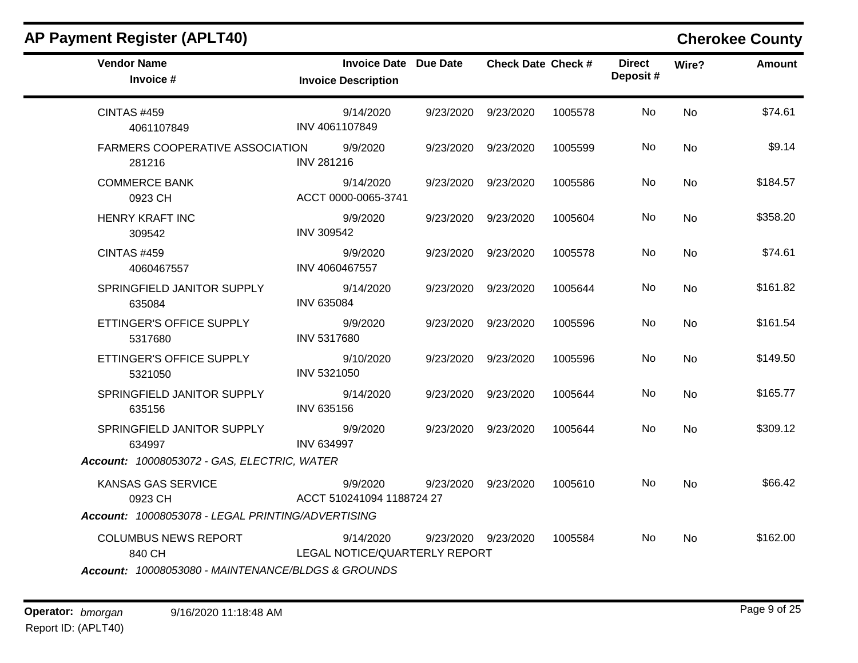| <b>AP Payment Register (APLT40)</b>                                                         |                                                            |                           |         |                           |           | <b>Cherokee County</b> |
|---------------------------------------------------------------------------------------------|------------------------------------------------------------|---------------------------|---------|---------------------------|-----------|------------------------|
| <b>Vendor Name</b><br>Invoice #                                                             | <b>Invoice Date Due Date</b><br><b>Invoice Description</b> | <b>Check Date Check #</b> |         | <b>Direct</b><br>Deposit# | Wire?     | <b>Amount</b>          |
| <b>CINTAS #459</b><br>4061107849                                                            | 9/14/2020<br>INV 4061107849                                | 9/23/2020 9/23/2020       | 1005578 | No                        | No        | \$74.61                |
| <b>FARMERS COOPERATIVE ASSOCIATION</b><br>281216                                            | 9/9/2020<br><b>INV 281216</b>                              | 9/23/2020 9/23/2020       | 1005599 | No.                       | No        | \$9.14                 |
| <b>COMMERCE BANK</b><br>0923 CH                                                             | 9/14/2020<br>ACCT 0000-0065-3741                           | 9/23/2020 9/23/2020       | 1005586 | No                        | No        | \$184.57               |
| <b>HENRY KRAFT INC</b><br>309542                                                            | 9/9/2020<br>INV 309542                                     | 9/23/2020 9/23/2020       | 1005604 | No.                       | No        | \$358.20               |
| <b>CINTAS #459</b><br>4060467557                                                            | 9/9/2020<br>INV 4060467557                                 | 9/23/2020 9/23/2020       | 1005578 | No                        | <b>No</b> | \$74.61                |
| SPRINGFIELD JANITOR SUPPLY<br>635084                                                        | 9/14/2020<br><b>INV 635084</b>                             | 9/23/2020 9/23/2020       | 1005644 | No                        | <b>No</b> | \$161.82               |
| ETTINGER'S OFFICE SUPPLY<br>5317680                                                         | 9/9/2020<br>INV 5317680                                    | 9/23/2020 9/23/2020       | 1005596 | No.                       | No        | \$161.54               |
| ETTINGER'S OFFICE SUPPLY<br>5321050                                                         | 9/10/2020<br>INV 5321050                                   | 9/23/2020 9/23/2020       | 1005596 | No                        | No        | \$149.50               |
| SPRINGFIELD JANITOR SUPPLY<br>635156                                                        | 9/14/2020<br>INV 635156                                    | 9/23/2020 9/23/2020       | 1005644 | No.                       | No        | \$165.77               |
| SPRINGFIELD JANITOR SUPPLY<br>634997                                                        | 9/9/2020<br><b>INV 634997</b>                              | 9/23/2020 9/23/2020       | 1005644 | No                        | <b>No</b> | \$309.12               |
| Account: 10008053072 - GAS, ELECTRIC, WATER                                                 |                                                            |                           |         |                           |           |                        |
| KANSAS GAS SERVICE<br>0923 CH                                                               | 9/9/2020<br>ACCT 510241094 1188724 27                      | 9/23/2020 9/23/2020       | 1005610 | No.                       | No        | \$66.42                |
| Account: 10008053078 - LEGAL PRINTING/ADVERTISING                                           |                                                            |                           |         |                           |           |                        |
| <b>COLUMBUS NEWS REPORT</b><br>840 CH<br>Account: 10008053080 - MAINTENANCE/BLDGS & GROUNDS | 9/14/2020<br>LEGAL NOTICE/QUARTERLY REPORT                 | 9/23/2020 9/23/2020       | 1005584 | No.                       | No.       | \$162.00               |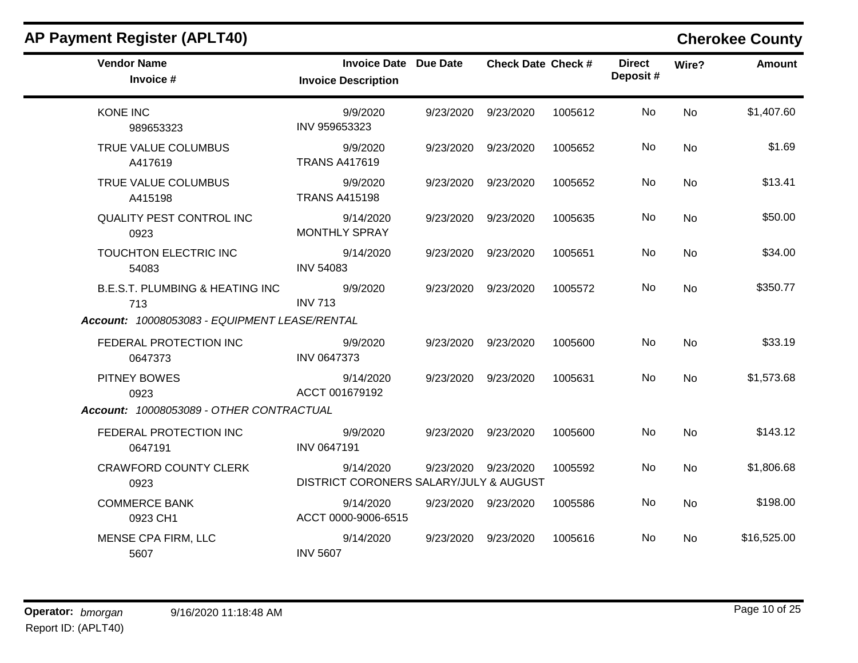| <b>AP Payment Register (APLT40)</b>               |                                                            |           |                           |         |                           |           | <b>Cherokee County</b> |
|---------------------------------------------------|------------------------------------------------------------|-----------|---------------------------|---------|---------------------------|-----------|------------------------|
| <b>Vendor Name</b><br>Invoice #                   | <b>Invoice Date Due Date</b><br><b>Invoice Description</b> |           | <b>Check Date Check #</b> |         | <b>Direct</b><br>Deposit# | Wire?     | <b>Amount</b>          |
| <b>KONE INC</b><br>989653323                      | 9/9/2020<br>INV 959653323                                  | 9/23/2020 | 9/23/2020                 | 1005612 | No                        | <b>No</b> | \$1,407.60             |
| TRUE VALUE COLUMBUS<br>A417619                    | 9/9/2020<br><b>TRANS A417619</b>                           | 9/23/2020 | 9/23/2020                 | 1005652 | No                        | <b>No</b> | \$1.69                 |
| TRUE VALUE COLUMBUS<br>A415198                    | 9/9/2020<br><b>TRANS A415198</b>                           | 9/23/2020 | 9/23/2020                 | 1005652 | No                        | <b>No</b> | \$13.41                |
| <b>QUALITY PEST CONTROL INC</b><br>0923           | 9/14/2020<br><b>MONTHLY SPRAY</b>                          | 9/23/2020 | 9/23/2020                 | 1005635 | No                        | <b>No</b> | \$50.00                |
| TOUCHTON ELECTRIC INC<br>54083                    | 9/14/2020<br><b>INV 54083</b>                              |           | 9/23/2020 9/23/2020       | 1005651 | No                        | <b>No</b> | \$34.00                |
| <b>B.E.S.T. PLUMBING &amp; HEATING INC</b><br>713 | 9/9/2020<br><b>INV 713</b>                                 | 9/23/2020 | 9/23/2020                 | 1005572 | No                        | <b>No</b> | \$350.77               |
| Account: 10008053083 - EQUIPMENT LEASE/RENTAL     |                                                            |           |                           |         |                           |           |                        |
| FEDERAL PROTECTION INC<br>0647373                 | 9/9/2020<br>INV 0647373                                    |           | 9/23/2020 9/23/2020       | 1005600 | No.                       | No        | \$33.19                |
| <b>PITNEY BOWES</b><br>0923                       | 9/14/2020<br>ACCT 001679192                                | 9/23/2020 | 9/23/2020                 | 1005631 | No.                       | No        | \$1,573.68             |
| Account: 10008053089 - OTHER CONTRACTUAL          |                                                            |           |                           |         |                           |           |                        |
| FEDERAL PROTECTION INC<br>0647191                 | 9/9/2020<br>INV 0647191                                    | 9/23/2020 | 9/23/2020                 | 1005600 | No                        | <b>No</b> | \$143.12               |
| <b>CRAWFORD COUNTY CLERK</b><br>0923              | 9/14/2020<br>DISTRICT CORONERS SALARY/JULY & AUGUST        | 9/23/2020 | 9/23/2020                 | 1005592 | No.                       | <b>No</b> | \$1,806.68             |
| <b>COMMERCE BANK</b><br>0923 CH1                  | 9/14/2020<br>ACCT 0000-9006-6515                           |           | 9/23/2020 9/23/2020       | 1005586 | No                        | <b>No</b> | \$198.00               |
| MENSE CPA FIRM, LLC<br>5607                       | 9/14/2020<br><b>INV 5607</b>                               | 9/23/2020 | 9/23/2020                 | 1005616 | No.                       | No.       | \$16,525.00            |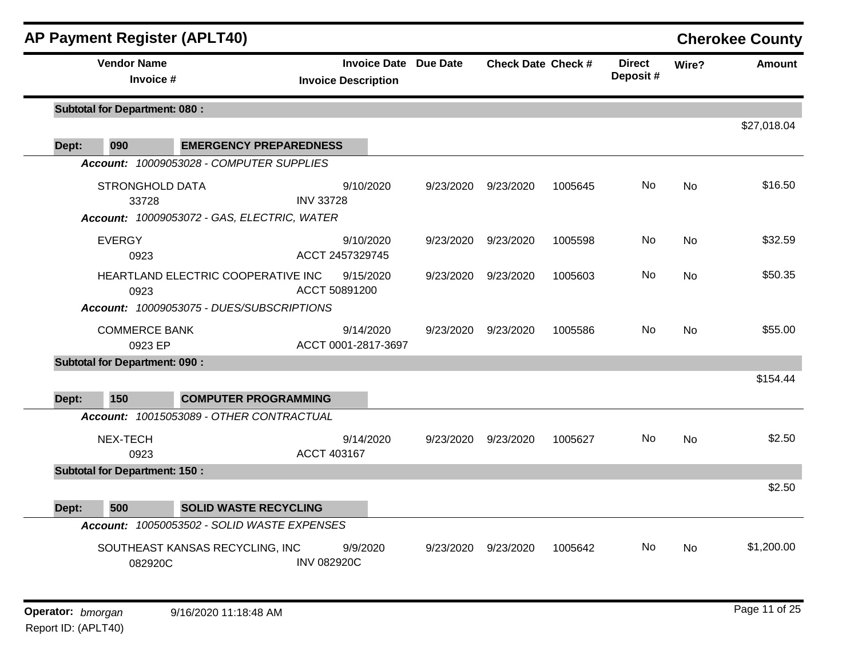|       | <b>AP Payment Register (APLT40)</b>                                            |                               |                                                            |           |                           |         |                           |           | <b>Cherokee County</b> |
|-------|--------------------------------------------------------------------------------|-------------------------------|------------------------------------------------------------|-----------|---------------------------|---------|---------------------------|-----------|------------------------|
|       | <b>Vendor Name</b><br>Invoice #                                                |                               | <b>Invoice Date Due Date</b><br><b>Invoice Description</b> |           | <b>Check Date Check #</b> |         | <b>Direct</b><br>Deposit# | Wire?     | <b>Amount</b>          |
|       | <b>Subtotal for Department: 080:</b>                                           |                               |                                                            |           |                           |         |                           |           | \$27,018.04            |
| Dept: | 090                                                                            | <b>EMERGENCY PREPAREDNESS</b> |                                                            |           |                           |         |                           |           |                        |
|       | Account: 10009053028 - COMPUTER SUPPLIES                                       |                               |                                                            |           |                           |         |                           |           |                        |
|       | <b>STRONGHOLD DATA</b><br>33728<br>Account: 10009053072 - GAS, ELECTRIC, WATER | <b>INV 33728</b>              | 9/10/2020                                                  | 9/23/2020 | 9/23/2020                 | 1005645 | No.                       | <b>No</b> | \$16.50                |
|       | <b>EVERGY</b><br>0923                                                          |                               | 9/10/2020<br>ACCT 2457329745                               | 9/23/2020 | 9/23/2020                 | 1005598 | No                        | <b>No</b> | \$32.59                |
|       | HEARTLAND ELECTRIC COOPERATIVE INC<br>0923                                     | ACCT 50891200                 | 9/15/2020                                                  | 9/23/2020 | 9/23/2020                 | 1005603 | No.                       | No        | \$50.35                |
|       | Account: 10009053075 - DUES/SUBSCRIPTIONS                                      |                               |                                                            |           |                           |         |                           |           |                        |
|       | <b>COMMERCE BANK</b><br>0923 EP                                                |                               | 9/14/2020<br>ACCT 0001-2817-3697                           | 9/23/2020 | 9/23/2020                 | 1005586 | No.                       | <b>No</b> | \$55.00                |
|       | <b>Subtotal for Department: 090:</b>                                           |                               |                                                            |           |                           |         |                           |           |                        |
| Dept: | 150                                                                            | <b>COMPUTER PROGRAMMING</b>   |                                                            |           |                           |         |                           |           | \$154.44               |
|       | Account: 10015053089 - OTHER CONTRACTUAL                                       |                               |                                                            |           |                           |         |                           |           |                        |
|       | NEX-TECH<br>0923                                                               | ACCT 403167                   | 9/14/2020                                                  | 9/23/2020 | 9/23/2020                 | 1005627 | No.                       | <b>No</b> | \$2.50                 |
|       | <b>Subtotal for Department: 150:</b>                                           |                               |                                                            |           |                           |         |                           |           | \$2.50                 |
| Dept: | 500                                                                            | <b>SOLID WASTE RECYCLING</b>  |                                                            |           |                           |         |                           |           |                        |
|       | Account: 10050053502 - SOLID WASTE EXPENSES                                    |                               |                                                            |           |                           |         |                           |           |                        |
|       | SOUTHEAST KANSAS RECYCLING, INC<br>082920C                                     | <b>INV 082920C</b>            | 9/9/2020                                                   | 9/23/2020 | 9/23/2020                 | 1005642 | No.                       | <b>No</b> | \$1,200.00             |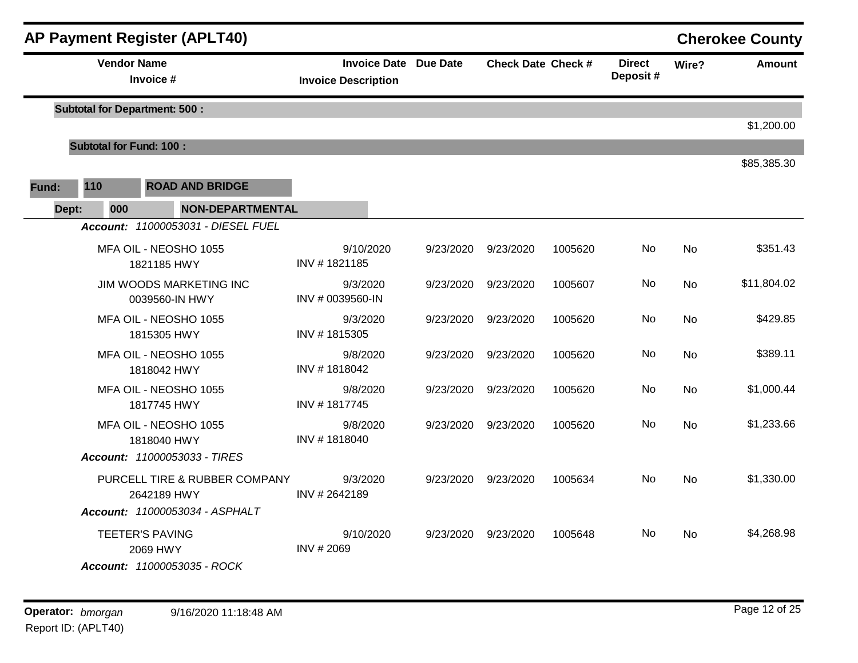|       |                                | <b>AP Payment Register (APLT40)</b>                                      |                                                            |           |                           |         |                           |           | <b>Cherokee County</b> |
|-------|--------------------------------|--------------------------------------------------------------------------|------------------------------------------------------------|-----------|---------------------------|---------|---------------------------|-----------|------------------------|
|       | <b>Vendor Name</b>             | Invoice #                                                                | <b>Invoice Date Due Date</b><br><b>Invoice Description</b> |           | <b>Check Date Check #</b> |         | <b>Direct</b><br>Deposit# | Wire?     | <b>Amount</b>          |
|       |                                | <b>Subtotal for Department: 500:</b>                                     |                                                            |           |                           |         |                           |           |                        |
|       |                                |                                                                          |                                                            |           |                           |         |                           |           | \$1,200.00             |
|       | <b>Subtotal for Fund: 100:</b> |                                                                          |                                                            |           |                           |         |                           |           |                        |
| Fund: | 110                            | <b>ROAD AND BRIDGE</b>                                                   |                                                            |           |                           |         |                           |           | \$85,385.30            |
| Dept: | 000                            | <b>NON-DEPARTMENTAL</b>                                                  |                                                            |           |                           |         |                           |           |                        |
|       |                                | Account: 11000053031 - DIESEL FUEL                                       |                                                            |           |                           |         |                           |           |                        |
|       |                                | MFA OIL - NEOSHO 1055<br>1821185 HWY                                     | 9/10/2020<br>INV #1821185                                  | 9/23/2020 | 9/23/2020                 | 1005620 | No                        | No        | \$351.43               |
|       |                                | JIM WOODS MARKETING INC<br>0039560-IN HWY                                | 9/3/2020<br>INV # 0039560-IN                               | 9/23/2020 | 9/23/2020                 | 1005607 | No                        | No        | \$11,804.02            |
|       |                                | MFA OIL - NEOSHO 1055<br>1815305 HWY                                     | 9/3/2020<br>INV #1815305                                   | 9/23/2020 | 9/23/2020                 | 1005620 | No                        | <b>No</b> | \$429.85               |
|       |                                | MFA OIL - NEOSHO 1055<br>1818042 HWY                                     | 9/8/2020<br>INV #1818042                                   | 9/23/2020 | 9/23/2020                 | 1005620 | No                        | No        | \$389.11               |
|       |                                | MFA OIL - NEOSHO 1055<br>1817745 HWY                                     | 9/8/2020<br>INV #1817745                                   | 9/23/2020 | 9/23/2020                 | 1005620 | No.                       | No        | \$1,000.44             |
|       |                                | MFA OIL - NEOSHO 1055<br>1818040 HWY                                     | 9/8/2020<br>INV #1818040                                   | 9/23/2020 | 9/23/2020                 | 1005620 | No                        | <b>No</b> | \$1,233.66             |
|       |                                | Account: 11000053033 - TIRES                                             |                                                            |           |                           |         |                           |           |                        |
|       |                                | PURCELL TIRE & RUBBER COMPANY<br>2642189 HWY                             | 9/3/2020<br>INV #2642189                                   | 9/23/2020 | 9/23/2020                 | 1005634 | No                        | <b>No</b> | \$1,330.00             |
|       |                                | Account: 11000053034 - ASPHALT                                           |                                                            |           |                           |         |                           |           |                        |
|       |                                | <b>TEETER'S PAVING</b><br>2069 HWY<br><b>Account:</b> 11000053035 - ROCK | 9/10/2020<br>INV # 2069                                    | 9/23/2020 | 9/23/2020                 | 1005648 | No                        | No        | \$4,268.98             |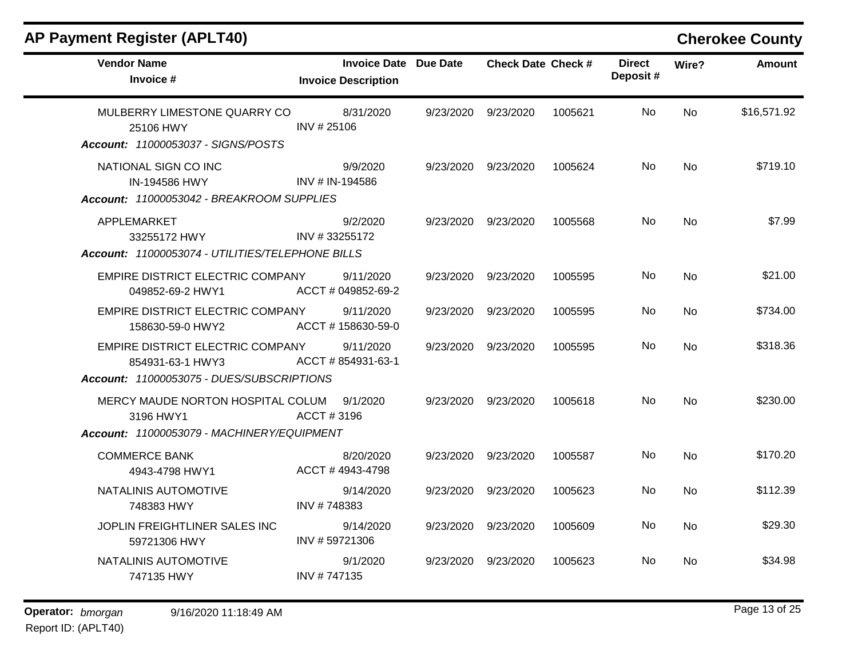| <b>Vendor Name</b><br>Invoice #                                                                   | <b>Invoice Date Due Date</b><br><b>Invoice Description</b> |           | <b>Check Date Check #</b> |         | <b>Direct</b><br>Deposit# | Wire?     | <b>Amount</b> |
|---------------------------------------------------------------------------------------------------|------------------------------------------------------------|-----------|---------------------------|---------|---------------------------|-----------|---------------|
| MULBERRY LIMESTONE QUARRY CO<br>25106 HWY<br>Account: 11000053037 - SIGNS/POSTS                   | 8/31/2020<br>INV #25106                                    | 9/23/2020 | 9/23/2020                 | 1005621 | No                        | <b>No</b> | \$16,571.92   |
| NATIONAL SIGN CO INC<br>IN-194586 HWY<br>Account: 11000053042 - BREAKROOM SUPPLIES                | 9/9/2020<br>INV # IN-194586                                | 9/23/2020 | 9/23/2020                 | 1005624 | No.                       | <b>No</b> | \$719.10      |
| APPLEMARKET<br>33255172 HWY<br>Account: 11000053074 - UTILITIES/TELEPHONE BILLS                   | 9/2/2020<br>INV #33255172                                  | 9/23/2020 | 9/23/2020                 | 1005568 | No.                       | No        | \$7.99        |
| EMPIRE DISTRICT ELECTRIC COMPANY<br>049852-69-2 HWY1                                              | 9/11/2020<br>ACCT # 049852-69-2                            | 9/23/2020 | 9/23/2020                 | 1005595 | No.                       | <b>No</b> | \$21.00       |
| EMPIRE DISTRICT ELECTRIC COMPANY<br>158630-59-0 HWY2                                              | 9/11/2020<br>ACCT #158630-59-0                             | 9/23/2020 | 9/23/2020                 | 1005595 | No                        | No        | \$734.00      |
| EMPIRE DISTRICT ELECTRIC COMPANY<br>854931-63-1 HWY3<br>Account: 11000053075 - DUES/SUBSCRIPTIONS | 9/11/2020<br>ACCT # 854931-63-1                            | 9/23/2020 | 9/23/2020                 | 1005595 | No                        | <b>No</b> | \$318.36      |
| MERCY MAUDE NORTON HOSPITAL COLUM<br>3196 HWY1<br>Account: 11000053079 - MACHINERY/EQUIPMENT      | 9/1/2020<br>ACCT#3196                                      | 9/23/2020 | 9/23/2020                 | 1005618 | No.                       | <b>No</b> | \$230.00      |
| <b>COMMERCE BANK</b><br>4943-4798 HWY1                                                            | 8/20/2020<br>ACCT #4943-4798                               | 9/23/2020 | 9/23/2020                 | 1005587 | No.                       | No        | \$170.20      |
| NATALINIS AUTOMOTIVE<br>748383 HWY                                                                | 9/14/2020<br>INV #748383                                   | 9/23/2020 | 9/23/2020                 | 1005623 | No                        | No        | \$112.39      |
| JOPLIN FREIGHTLINER SALES INC<br>59721306 HWY                                                     | 9/14/2020<br>INV #59721306                                 | 9/23/2020 | 9/23/2020                 | 1005609 | No.                       | <b>No</b> | \$29.30       |
| NATALINIS AUTOMOTIVE<br>747135 HWY                                                                | 9/1/2020<br>INV #747135                                    | 9/23/2020 | 9/23/2020                 | 1005623 | No.                       | No.       | \$34.98       |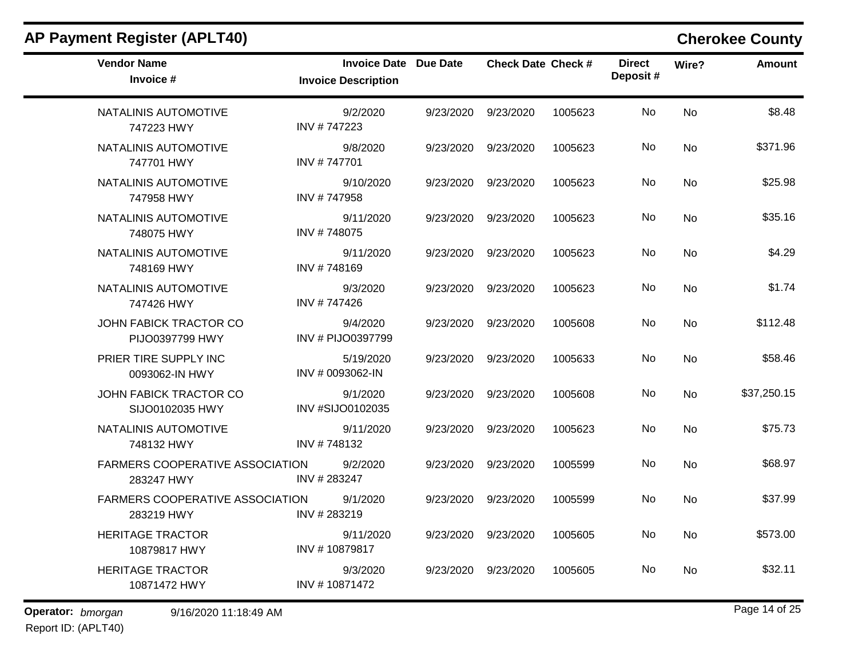| <b>Vendor Name</b><br>Invoice #                      | <b>Invoice Date Due Date</b><br><b>Invoice Description</b> |           | <b>Check Date Check #</b> |         | <b>Direct</b><br>Deposit# | Wire?     | <b>Amount</b> |
|------------------------------------------------------|------------------------------------------------------------|-----------|---------------------------|---------|---------------------------|-----------|---------------|
| NATALINIS AUTOMOTIVE<br>747223 HWY                   | 9/2/2020<br>INV #747223                                    | 9/23/2020 | 9/23/2020                 | 1005623 | No                        | <b>No</b> | \$8.48        |
| NATALINIS AUTOMOTIVE<br>747701 HWY                   | 9/8/2020<br>INV #747701                                    | 9/23/2020 | 9/23/2020                 | 1005623 | No                        | <b>No</b> | \$371.96      |
| NATALINIS AUTOMOTIVE<br>747958 HWY                   | 9/10/2020<br>INV #747958                                   | 9/23/2020 | 9/23/2020                 | 1005623 | No                        | No        | \$25.98       |
| NATALINIS AUTOMOTIVE<br>748075 HWY                   | 9/11/2020<br>INV #748075                                   | 9/23/2020 | 9/23/2020                 | 1005623 | No                        | <b>No</b> | \$35.16       |
| NATALINIS AUTOMOTIVE<br>748169 HWY                   | 9/11/2020<br>INV #748169                                   | 9/23/2020 | 9/23/2020                 | 1005623 | No                        | No        | \$4.29        |
| NATALINIS AUTOMOTIVE<br>747426 HWY                   | 9/3/2020<br>INV #747426                                    | 9/23/2020 | 9/23/2020                 | 1005623 | No                        | <b>No</b> | \$1.74        |
| JOHN FABICK TRACTOR CO<br>PIJO0397799 HWY            | 9/4/2020<br>INV # PIJO0397799                              | 9/23/2020 | 9/23/2020                 | 1005608 | No                        | <b>No</b> | \$112.48      |
| PRIER TIRE SUPPLY INC<br>0093062-IN HWY              | 5/19/2020<br>INV # 0093062-IN                              | 9/23/2020 | 9/23/2020                 | 1005633 | No                        | No        | \$58.46       |
| JOHN FABICK TRACTOR CO<br>SIJO0102035 HWY            | 9/1/2020<br>INV #SIJO0102035                               | 9/23/2020 | 9/23/2020                 | 1005608 | No                        | <b>No</b> | \$37,250.15   |
| NATALINIS AUTOMOTIVE<br>748132 HWY                   | 9/11/2020<br>INV #748132                                   | 9/23/2020 | 9/23/2020                 | 1005623 | No                        | <b>No</b> | \$75.73       |
| <b>FARMERS COOPERATIVE ASSOCIATION</b><br>283247 HWY | 9/2/2020<br>INV #283247                                    | 9/23/2020 | 9/23/2020                 | 1005599 | No                        | <b>No</b> | \$68.97       |
| FARMERS COOPERATIVE ASSOCIATION<br>283219 HWY        | 9/1/2020<br>INV #283219                                    | 9/23/2020 | 9/23/2020                 | 1005599 | No                        | <b>No</b> | \$37.99       |
| <b>HERITAGE TRACTOR</b><br>10879817 HWY              | 9/11/2020<br>INV #10879817                                 | 9/23/2020 | 9/23/2020                 | 1005605 | No.                       | No        | \$573.00      |
| <b>HERITAGE TRACTOR</b><br>10871472 HWY              | 9/3/2020<br>INV #10871472                                  | 9/23/2020 | 9/23/2020                 | 1005605 | No                        | No.       | \$32.11       |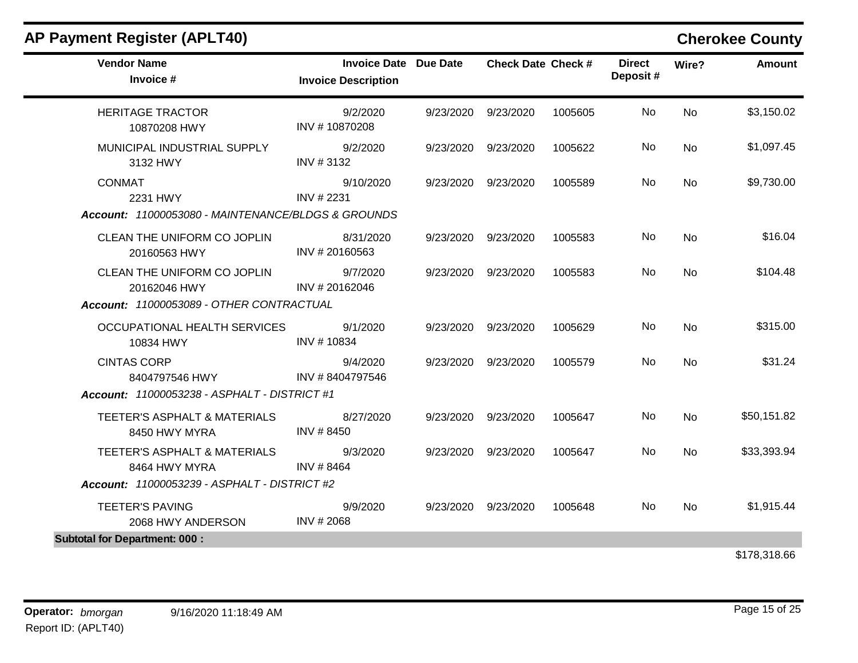| <b>Vendor Name</b><br>Invoice #                                                         | <b>Invoice Date Due Date</b><br><b>Invoice Description</b> | <b>Check Date Check #</b> |         | <b>Direct</b><br>Deposit# | Wire?     | <b>Amount</b> |
|-----------------------------------------------------------------------------------------|------------------------------------------------------------|---------------------------|---------|---------------------------|-----------|---------------|
| <b>HERITAGE TRACTOR</b><br>10870208 HWY                                                 | 9/2/2020<br>INV #10870208                                  | 9/23/2020 9/23/2020       | 1005605 | No                        | <b>No</b> | \$3,150.02    |
| MUNICIPAL INDUSTRIAL SUPPLY<br>3132 HWY                                                 | 9/2/2020<br>INV #3132                                      | 9/23/2020 9/23/2020       | 1005622 | No                        | <b>No</b> | \$1,097.45    |
| <b>CONMAT</b><br>2231 HWY<br>Account: 11000053080 - MAINTENANCE/BLDGS & GROUNDS         | 9/10/2020<br>INV # 2231                                    | 9/23/2020 9/23/2020       | 1005589 | No                        | <b>No</b> | \$9,730.00    |
| CLEAN THE UNIFORM CO JOPLIN<br>20160563 HWY                                             | 8/31/2020<br>INV #20160563                                 | 9/23/2020 9/23/2020       | 1005583 | No                        | <b>No</b> | \$16.04       |
| CLEAN THE UNIFORM CO JOPLIN<br>20162046 HWY<br>Account: 11000053089 - OTHER CONTRACTUAL | 9/7/2020<br>INV #20162046                                  | 9/23/2020 9/23/2020       | 1005583 | No                        | <b>No</b> | \$104.48      |
| OCCUPATIONAL HEALTH SERVICES<br>10834 HWY                                               | 9/1/2020<br>INV #10834                                     | 9/23/2020 9/23/2020       | 1005629 | <b>No</b>                 | <b>No</b> | \$315.00      |
| <b>CINTAS CORP</b><br>8404797546 HWY                                                    | 9/4/2020<br>INV #8404797546                                | 9/23/2020 9/23/2020       | 1005579 | <b>No</b>                 | <b>No</b> | \$31.24       |
| <b>Account: 11000053238 - ASPHALT - DISTRICT #1</b>                                     |                                                            |                           |         |                           |           |               |
| TEETER'S ASPHALT & MATERIALS<br>8450 HWY MYRA                                           | 8/27/2020<br>INV # 8450                                    | 9/23/2020 9/23/2020       | 1005647 | No                        | <b>No</b> | \$50,151.82   |
| TEETER'S ASPHALT & MATERIALS<br>8464 HWY MYRA                                           | 9/3/2020<br>INV #8464                                      | 9/23/2020 9/23/2020       | 1005647 | No                        | <b>No</b> | \$33,393.94   |
| Account: 11000053239 - ASPHALT - DISTRICT #2                                            |                                                            |                           |         |                           |           |               |
| <b>TEETER'S PAVING</b><br>2068 HWY ANDERSON                                             | 9/9/2020<br>INV # 2068                                     | 9/23/2020 9/23/2020       | 1005648 | No                        | <b>No</b> | \$1,915.44    |
| <b>Subtotal for Department: 000:</b>                                                    |                                                            |                           |         |                           |           |               |
|                                                                                         |                                                            |                           |         |                           |           | \$178,318.66  |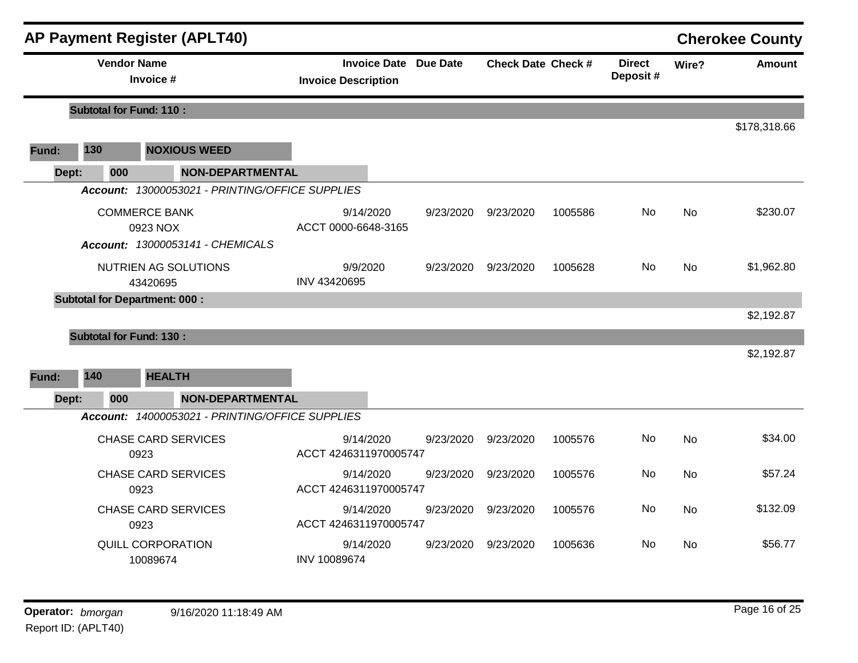|       |                                      | <b>AP Payment Register (APLT40)</b>             |                            |           |                              |                           |         |                           |           | <b>Cherokee County</b> |
|-------|--------------------------------------|-------------------------------------------------|----------------------------|-----------|------------------------------|---------------------------|---------|---------------------------|-----------|------------------------|
|       | <b>Vendor Name</b>                   | Invoice #                                       | <b>Invoice Description</b> |           | <b>Invoice Date Due Date</b> | <b>Check Date Check #</b> |         | <b>Direct</b><br>Deposit# | Wire?     | <b>Amount</b>          |
|       | <b>Subtotal for Fund: 110:</b>       |                                                 |                            |           |                              |                           |         |                           |           |                        |
|       |                                      |                                                 |                            |           |                              |                           |         |                           |           | \$178,318.66           |
| Fund: | 130                                  | <b>NOXIOUS WEED</b>                             |                            |           |                              |                           |         |                           |           |                        |
| Dept: | 000                                  | <b>NON-DEPARTMENTAL</b>                         |                            |           |                              |                           |         |                           |           |                        |
|       |                                      | Account: 13000053021 - PRINTING/OFFICE SUPPLIES |                            |           |                              |                           |         |                           |           |                        |
|       |                                      | <b>COMMERCE BANK</b><br>0923 NOX                | ACCT 0000-6648-3165        | 9/14/2020 | 9/23/2020                    | 9/23/2020                 | 1005586 | No                        | <b>No</b> | \$230.07               |
|       |                                      | Account: 13000053141 - CHEMICALS                |                            |           |                              |                           |         |                           |           |                        |
|       |                                      | NUTRIEN AG SOLUTIONS<br>43420695                | 9/9/2020<br>INV 43420695   |           | 9/23/2020                    | 9/23/2020                 | 1005628 | <b>No</b>                 | <b>No</b> | \$1,962.80             |
|       | <b>Subtotal for Department: 000:</b> |                                                 |                            |           |                              |                           |         |                           |           |                        |
|       |                                      |                                                 |                            |           |                              |                           |         |                           |           | \$2,192.87             |
|       | <b>Subtotal for Fund: 130:</b>       |                                                 |                            |           |                              |                           |         |                           |           |                        |
|       |                                      |                                                 |                            |           |                              |                           |         |                           |           | \$2,192.87             |
| Fund: | 140                                  | <b>HEALTH</b>                                   |                            |           |                              |                           |         |                           |           |                        |
| Dept: | 000                                  | <b>NON-DEPARTMENTAL</b>                         |                            |           |                              |                           |         |                           |           |                        |
|       |                                      | Account: 14000053021 - PRINTING/OFFICE SUPPLIES |                            |           |                              |                           |         |                           |           |                        |
|       |                                      | <b>CHASE CARD SERVICES</b><br>0923              | ACCT 4246311970005747      | 9/14/2020 | 9/23/2020                    | 9/23/2020                 | 1005576 | No                        | <b>No</b> | \$34.00                |
|       |                                      | <b>CHASE CARD SERVICES</b><br>0923              | ACCT 4246311970005747      | 9/14/2020 | 9/23/2020                    | 9/23/2020                 | 1005576 | No                        | <b>No</b> | \$57.24                |
|       |                                      | <b>CHASE CARD SERVICES</b><br>0923              | ACCT 4246311970005747      | 9/14/2020 | 9/23/2020                    | 9/23/2020                 | 1005576 | No                        | No        | \$132.09               |
|       |                                      | QUILL CORPORATION<br>10089674                   | INV 10089674               | 9/14/2020 | 9/23/2020                    | 9/23/2020                 | 1005636 | No                        | <b>No</b> | \$56.77                |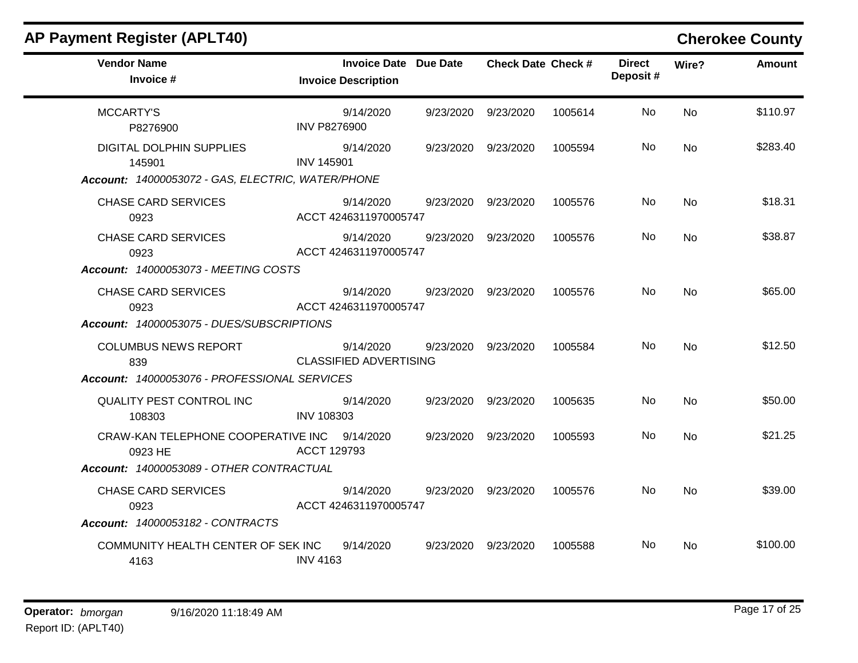| <b>AP Payment Register (APLT40)</b>                                                            |                                                            |           |                           |         |                           |           | <b>Cherokee County</b> |
|------------------------------------------------------------------------------------------------|------------------------------------------------------------|-----------|---------------------------|---------|---------------------------|-----------|------------------------|
| <b>Vendor Name</b><br>Invoice #                                                                | <b>Invoice Date Due Date</b><br><b>Invoice Description</b> |           | <b>Check Date Check #</b> |         | <b>Direct</b><br>Deposit# | Wire?     | <b>Amount</b>          |
| <b>MCCARTY'S</b><br>P8276900                                                                   | 9/14/2020<br><b>INV P8276900</b>                           | 9/23/2020 | 9/23/2020                 | 1005614 | No.                       | <b>No</b> | \$110.97               |
| <b>DIGITAL DOLPHIN SUPPLIES</b><br>145901<br>Account: 14000053072 - GAS, ELECTRIC, WATER/PHONE | 9/14/2020<br><b>INV 145901</b>                             | 9/23/2020 | 9/23/2020                 | 1005594 | No                        | <b>No</b> | \$283.40               |
| <b>CHASE CARD SERVICES</b><br>0923                                                             | 9/14/2020<br>ACCT 4246311970005747                         | 9/23/2020 | 9/23/2020                 | 1005576 | No.                       | No        | \$18.31                |
| <b>CHASE CARD SERVICES</b><br>0923<br><b>Account: 14000053073 - MEETING COSTS</b>              | 9/14/2020<br>ACCT 4246311970005747                         | 9/23/2020 | 9/23/2020                 | 1005576 | No.                       | No        | \$38.87                |
| <b>CHASE CARD SERVICES</b><br>0923<br>Account: 14000053075 - DUES/SUBSCRIPTIONS                | 9/14/2020<br>ACCT 4246311970005747                         | 9/23/2020 | 9/23/2020                 | 1005576 | No.                       | No        | \$65.00                |
| <b>COLUMBUS NEWS REPORT</b><br>839<br>Account: 14000053076 - PROFESSIONAL SERVICES             | 9/14/2020<br><b>CLASSIFIED ADVERTISING</b>                 | 9/23/2020 | 9/23/2020                 | 1005584 | No.                       | <b>No</b> | \$12.50                |
| QUALITY PEST CONTROL INC<br>108303                                                             | 9/14/2020<br><b>INV 108303</b>                             |           | 9/23/2020 9/23/2020       | 1005635 | No.                       | No        | \$50.00                |
| CRAW-KAN TELEPHONE COOPERATIVE INC 9/14/2020<br>0923 HE                                        | ACCT 129793                                                |           | 9/23/2020 9/23/2020       | 1005593 | No.                       | No        | \$21.25                |
| Account: 14000053089 - OTHER CONTRACTUAL                                                       |                                                            |           |                           |         |                           |           |                        |
| <b>CHASE CARD SERVICES</b><br>0923                                                             | 9/14/2020<br>ACCT 4246311970005747                         |           | 9/23/2020 9/23/2020       | 1005576 | No.                       | No        | \$39.00                |
| Account: 14000053182 - CONTRACTS                                                               |                                                            |           |                           |         |                           |           |                        |
| COMMUNITY HEALTH CENTER OF SEK INC<br>4163                                                     | 9/14/2020<br><b>INV 4163</b>                               | 9/23/2020 | 9/23/2020                 | 1005588 | No.                       | <b>No</b> | \$100.00               |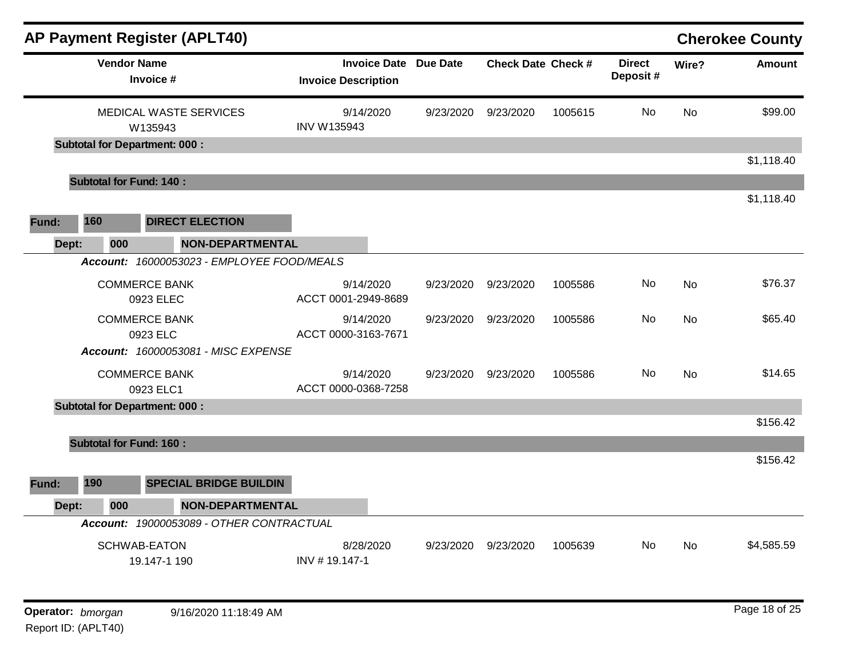| <b>AP Payment Register (APLT40)</b>           |                                                   |                 |                           |         |                           |           | <b>Cherokee County</b> |
|-----------------------------------------------|---------------------------------------------------|-----------------|---------------------------|---------|---------------------------|-----------|------------------------|
| <b>Vendor Name</b><br>Invoice #               | <b>Invoice Date</b><br><b>Invoice Description</b> | <b>Due Date</b> | <b>Check Date Check #</b> |         | <b>Direct</b><br>Deposit# | Wire?     | Amount                 |
| <b>MEDICAL WASTE SERVICES</b><br>W135943      | 9/14/2020<br>INV W135943                          | 9/23/2020       | 9/23/2020                 | 1005615 | <b>No</b>                 | <b>No</b> | \$99.00                |
| <b>Subtotal for Department: 000:</b>          |                                                   |                 |                           |         |                           |           |                        |
| <b>Subtotal for Fund: 140:</b>                |                                                   |                 |                           |         |                           |           | \$1,118.40             |
| 160<br><b>DIRECT ELECTION</b><br>Fund:        |                                                   |                 |                           |         |                           |           | \$1,118.40             |
| 000<br><b>NON-DEPARTMENTAL</b><br>Dept:       |                                                   |                 |                           |         |                           |           |                        |
| Account: 16000053023 - EMPLOYEE FOOD/MEALS    |                                                   |                 |                           |         |                           |           |                        |
| <b>COMMERCE BANK</b><br>0923 ELEC             | 9/14/2020<br>ACCT 0001-2949-8689                  | 9/23/2020       | 9/23/2020                 | 1005586 | No.                       | <b>No</b> | \$76.37                |
| <b>COMMERCE BANK</b><br>0923 ELC              | 9/14/2020<br>ACCT 0000-3163-7671                  | 9/23/2020       | 9/23/2020                 | 1005586 | No.                       | <b>No</b> | \$65.40                |
| Account: 16000053081 - MISC EXPENSE           |                                                   |                 |                           |         |                           |           |                        |
| <b>COMMERCE BANK</b><br>0923 ELC1             | 9/14/2020<br>ACCT 0000-0368-7258                  | 9/23/2020       | 9/23/2020                 | 1005586 | No                        | <b>No</b> | \$14.65                |
| <b>Subtotal for Department: 000:</b>          |                                                   |                 |                           |         |                           |           |                        |
|                                               |                                                   |                 |                           |         |                           |           | \$156.42               |
| <b>Subtotal for Fund: 160:</b>                |                                                   |                 |                           |         |                           |           |                        |
|                                               |                                                   |                 |                           |         |                           |           | \$156.42               |
| 190<br><b>SPECIAL BRIDGE BUILDIN</b><br>Fund: |                                                   |                 |                           |         |                           |           |                        |
| 000<br><b>NON-DEPARTMENTAL</b><br>Dept:       |                                                   |                 |                           |         |                           |           |                        |
| Account: 19000053089 - OTHER CONTRACTUAL      |                                                   |                 |                           |         |                           |           |                        |
| <b>SCHWAB-EATON</b><br>19.147-1 190           | 8/28/2020<br>INV #19.147-1                        | 9/23/2020       | 9/23/2020                 | 1005639 | No.                       | No        | \$4,585.59             |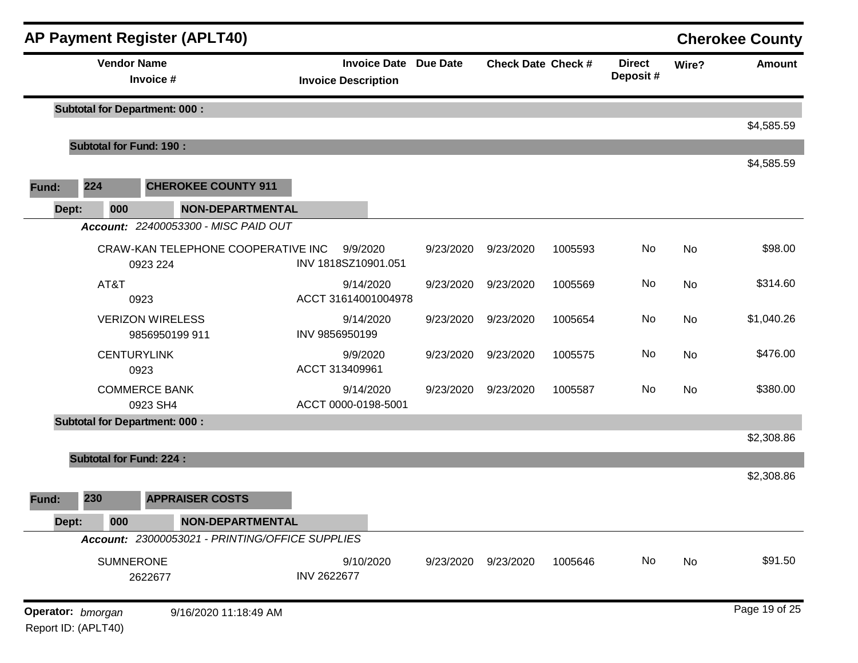| <b>AP Payment Register (APLT40)</b> |                                                                   |                                |                                                 |                                                            |           |                           |         |                           |       | <b>Cherokee County</b> |
|-------------------------------------|-------------------------------------------------------------------|--------------------------------|-------------------------------------------------|------------------------------------------------------------|-----------|---------------------------|---------|---------------------------|-------|------------------------|
|                                     |                                                                   | <b>Vendor Name</b>             | Invoice #                                       | <b>Invoice Date Due Date</b><br><b>Invoice Description</b> |           | <b>Check Date Check #</b> |         | <b>Direct</b><br>Deposit# | Wire? | <b>Amount</b>          |
|                                     |                                                                   |                                | <b>Subtotal for Department: 000:</b>            |                                                            |           |                           |         |                           |       |                        |
|                                     |                                                                   | <b>Subtotal for Fund: 190:</b> |                                                 |                                                            |           |                           |         |                           |       | \$4,585.59             |
|                                     |                                                                   |                                |                                                 |                                                            |           |                           |         |                           |       | \$4,585.59             |
| Fund:                               | 224                                                               |                                | <b>CHEROKEE COUNTY 911</b>                      |                                                            |           |                           |         |                           |       |                        |
| Dept:                               |                                                                   | 000                            | <b>NON-DEPARTMENTAL</b>                         |                                                            |           |                           |         |                           |       |                        |
|                                     |                                                                   |                                | Account: 22400053300 - MISC PAID OUT            |                                                            |           |                           |         |                           |       |                        |
|                                     |                                                                   | 0923 224                       | CRAW-KAN TELEPHONE COOPERATIVE INC              | 9/9/2020<br>INV 1818SZ10901.051                            | 9/23/2020 | 9/23/2020                 | 1005593 | No                        | No    | \$98.00                |
|                                     |                                                                   | AT&T<br>0923                   |                                                 | 9/14/2020<br>ACCT 31614001004978                           | 9/23/2020 | 9/23/2020                 | 1005569 | No                        | No    | \$314.60               |
|                                     |                                                                   |                                | <b>VERIZON WIRELESS</b><br>9856950199 911       | 9/14/2020<br>INV 9856950199                                | 9/23/2020 | 9/23/2020                 | 1005654 | No                        | No    | \$1,040.26             |
|                                     |                                                                   | <b>CENTURYLINK</b><br>0923     |                                                 | 9/9/2020<br>ACCT 313409961                                 | 9/23/2020 | 9/23/2020                 | 1005575 | No                        | No    | \$476.00               |
|                                     |                                                                   |                                | <b>COMMERCE BANK</b><br>0923 SH4                | 9/14/2020<br>ACCT 0000-0198-5001                           | 9/23/2020 | 9/23/2020                 | 1005587 | No                        | No    | \$380.00               |
|                                     |                                                                   |                                | <b>Subtotal for Department: 000:</b>            |                                                            |           |                           |         |                           |       |                        |
|                                     |                                                                   |                                |                                                 |                                                            |           |                           |         |                           |       | \$2,308.86             |
|                                     |                                                                   | <b>Subtotal for Fund: 224:</b> |                                                 |                                                            |           |                           |         |                           |       | \$2,308.86             |
| Fund:                               | 230                                                               |                                | <b>APPRAISER COSTS</b>                          |                                                            |           |                           |         |                           |       |                        |
| Dept:                               |                                                                   | 000                            | <b>NON-DEPARTMENTAL</b>                         |                                                            |           |                           |         |                           |       |                        |
|                                     |                                                                   |                                | Account: 23000053021 - PRINTING/OFFICE SUPPLIES |                                                            |           |                           |         |                           |       |                        |
|                                     |                                                                   | <b>SUMNERONE</b><br>2622677    |                                                 | 9/10/2020<br><b>INV 2622677</b>                            | 9/23/2020 | 9/23/2020                 | 1005646 | No                        | No    | \$91.50                |
|                                     | Operator: bmorgan<br>9/16/2020 11:18:49 AM<br>Report ID: (APLT40) |                                |                                                 |                                                            |           |                           |         |                           |       | Page 19 of 25          |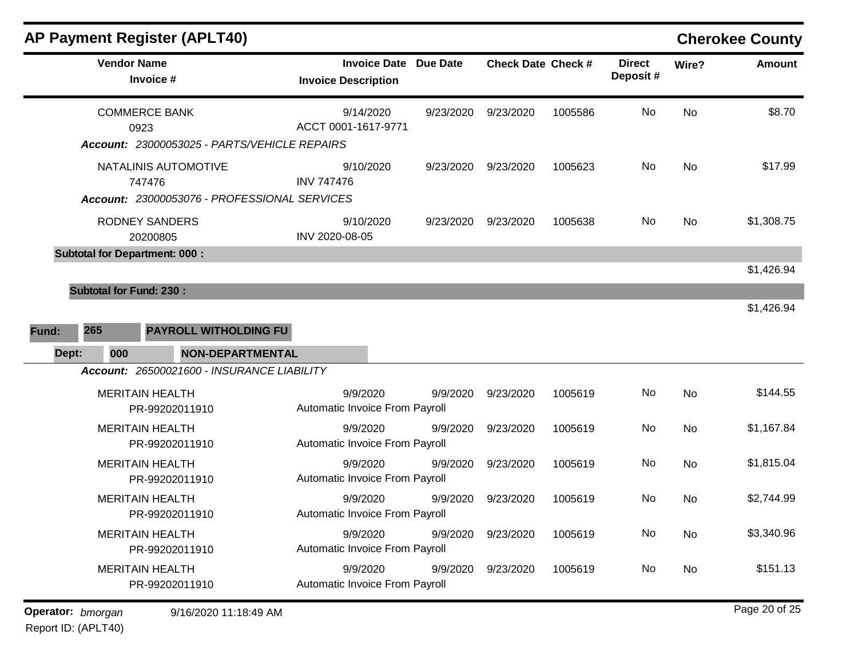| <b>AP Payment Register (APLT40)</b>                                            |                                                            |           |                           |         |                           |           | <b>Cherokee County</b> |
|--------------------------------------------------------------------------------|------------------------------------------------------------|-----------|---------------------------|---------|---------------------------|-----------|------------------------|
| <b>Vendor Name</b><br>Invoice #                                                | <b>Invoice Date Due Date</b><br><b>Invoice Description</b> |           | <b>Check Date Check #</b> |         | <b>Direct</b><br>Deposit# | Wire?     | <b>Amount</b>          |
| <b>COMMERCE BANK</b><br>0923<br>Account: 23000053025 - PARTS/VEHICLE REPAIRS   | 9/14/2020<br>ACCT 0001-1617-9771                           | 9/23/2020 | 9/23/2020                 | 1005586 | No                        | <b>No</b> | \$8.70                 |
| NATALINIS AUTOMOTIVE<br>747476<br>Account: 23000053076 - PROFESSIONAL SERVICES | 9/10/2020<br><b>INV 747476</b>                             | 9/23/2020 | 9/23/2020                 | 1005623 | No                        | No        | \$17.99                |
| <b>RODNEY SANDERS</b><br>20200805                                              | 9/10/2020<br>INV 2020-08-05                                | 9/23/2020 | 9/23/2020                 | 1005638 | No.                       | <b>No</b> | \$1,308.75             |
| <b>Subtotal for Department: 000:</b>                                           |                                                            |           |                           |         |                           |           |                        |
|                                                                                |                                                            |           |                           |         |                           |           | \$1,426.94             |
| <b>Subtotal for Fund: 230:</b>                                                 |                                                            |           |                           |         |                           |           | \$1,426.94             |
| 265<br><b>PAYROLL WITHOLDING FU</b><br>Fund:<br>000<br>Dept:                   | <b>NON-DEPARTMENTAL</b>                                    |           |                           |         |                           |           |                        |
| Account: 26500021600 - INSURANCE LIABILITY                                     |                                                            |           |                           |         |                           |           |                        |
| <b>MERITAIN HEALTH</b><br>PR-99202011910                                       | 9/9/2020<br>Automatic Invoice From Payroll                 | 9/9/2020  | 9/23/2020                 | 1005619 | No                        | No        | \$144.55               |
| <b>MERITAIN HEALTH</b><br>PR-99202011910                                       | 9/9/2020<br>Automatic Invoice From Payroll                 | 9/9/2020  | 9/23/2020                 | 1005619 | No                        | <b>No</b> | \$1,167.84             |
| <b>MERITAIN HEALTH</b><br>PR-99202011910                                       | 9/9/2020<br>Automatic Invoice From Payroll                 | 9/9/2020  | 9/23/2020                 | 1005619 | No.                       | No        | \$1,815.04             |
| <b>MERITAIN HEALTH</b><br>PR-99202011910                                       | 9/9/2020<br>Automatic Invoice From Payroll                 | 9/9/2020  | 9/23/2020                 | 1005619 | No                        | No        | \$2,744.99             |
| <b>MERITAIN HEALTH</b><br>PR-99202011910                                       | 9/9/2020<br>Automatic Invoice From Payroll                 | 9/9/2020  | 9/23/2020                 | 1005619 | No                        | No        | \$3,340.96             |
| <b>MERITAIN HEALTH</b><br>PR-99202011910                                       | 9/9/2020<br>Automatic Invoice From Payroll                 | 9/9/2020  | 9/23/2020                 | 1005619 | No.                       | No        | \$151.13               |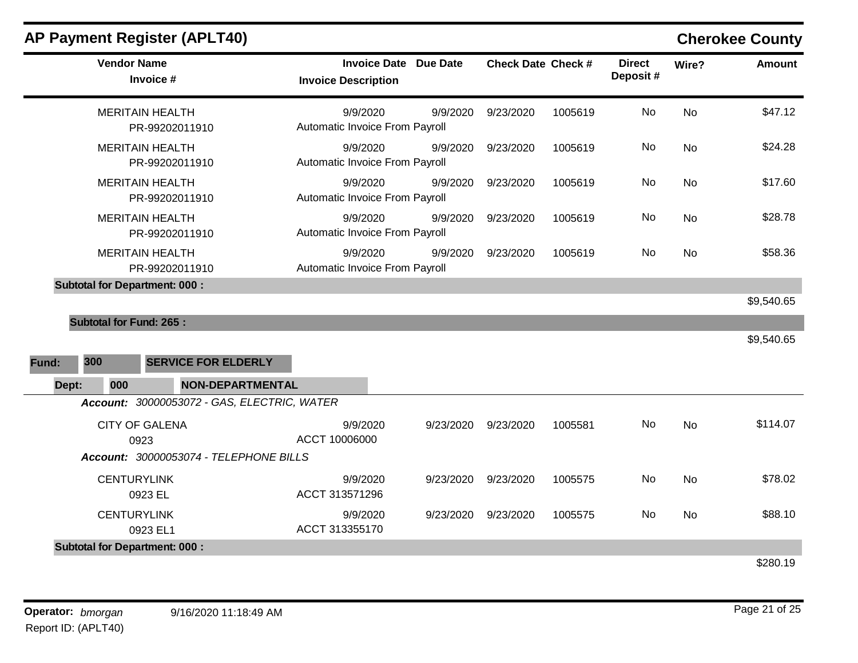| <b>Vendor Name</b>                   | Invoice #                                   | <b>Invoice Description</b>                 | <b>Invoice Date Due Date</b> | <b>Check Date Check #</b> |         | <b>Direct</b><br>Deposit# | Wire?     | <b>Amount</b> |
|--------------------------------------|---------------------------------------------|--------------------------------------------|------------------------------|---------------------------|---------|---------------------------|-----------|---------------|
|                                      | <b>MERITAIN HEALTH</b><br>PR-99202011910    | 9/9/2020<br>Automatic Invoice From Payroll | 9/9/2020                     | 9/23/2020                 | 1005619 | <b>No</b>                 | <b>No</b> | \$47.12       |
|                                      | <b>MERITAIN HEALTH</b><br>PR-99202011910    | 9/9/2020<br>Automatic Invoice From Payroll | 9/9/2020                     | 9/23/2020                 | 1005619 | No                        | <b>No</b> | \$24.28       |
|                                      | <b>MERITAIN HEALTH</b><br>PR-99202011910    | 9/9/2020<br>Automatic Invoice From Payroll | 9/9/2020                     | 9/23/2020                 | 1005619 | No                        | <b>No</b> | \$17.60       |
|                                      | <b>MERITAIN HEALTH</b><br>PR-99202011910    | 9/9/2020<br>Automatic Invoice From Payroll | 9/9/2020                     | 9/23/2020                 | 1005619 | No                        | No        | \$28.78       |
|                                      | <b>MERITAIN HEALTH</b><br>PR-99202011910    | 9/9/2020<br>Automatic Invoice From Payroll | 9/9/2020                     | 9/23/2020                 | 1005619 | No                        | <b>No</b> | \$58.36       |
| <b>Subtotal for Department: 000:</b> |                                             |                                            |                              |                           |         |                           |           |               |
|                                      |                                             |                                            |                              |                           |         |                           |           | \$9,540.65    |
| <b>Subtotal for Fund: 265:</b>       |                                             |                                            |                              |                           |         |                           |           |               |
|                                      |                                             |                                            |                              |                           |         |                           |           | \$9,540.65    |
| 300<br>Fund:                         | <b>SERVICE FOR ELDERLY</b>                  |                                            |                              |                           |         |                           |           |               |
| 000<br>Dept:                         | <b>NON-DEPARTMENTAL</b>                     |                                            |                              |                           |         |                           |           |               |
|                                      | Account: 30000053072 - GAS, ELECTRIC, WATER |                                            |                              |                           |         |                           |           |               |
|                                      | <b>CITY OF GALENA</b><br>0923               | 9/9/2020<br>ACCT 10006000                  | 9/23/2020                    | 9/23/2020                 | 1005581 | No                        | <b>No</b> | \$114.07      |
|                                      | Account: 30000053074 - TELEPHONE BILLS      |                                            |                              |                           |         |                           |           |               |
| <b>CENTURYLINK</b>                   | 0923 EL                                     | 9/9/2020<br>ACCT 313571296                 | 9/23/2020                    | 9/23/2020                 | 1005575 | No                        | <b>No</b> | \$78.02       |
| <b>CENTURYLINK</b>                   | 0923 EL1                                    | 9/9/2020<br>ACCT 313355170                 | 9/23/2020                    | 9/23/2020                 | 1005575 | No                        | No        | \$88.10       |
| <b>Subtotal for Department: 000:</b> |                                             |                                            |                              |                           |         |                           |           |               |
|                                      |                                             |                                            |                              |                           |         |                           |           | \$280.19      |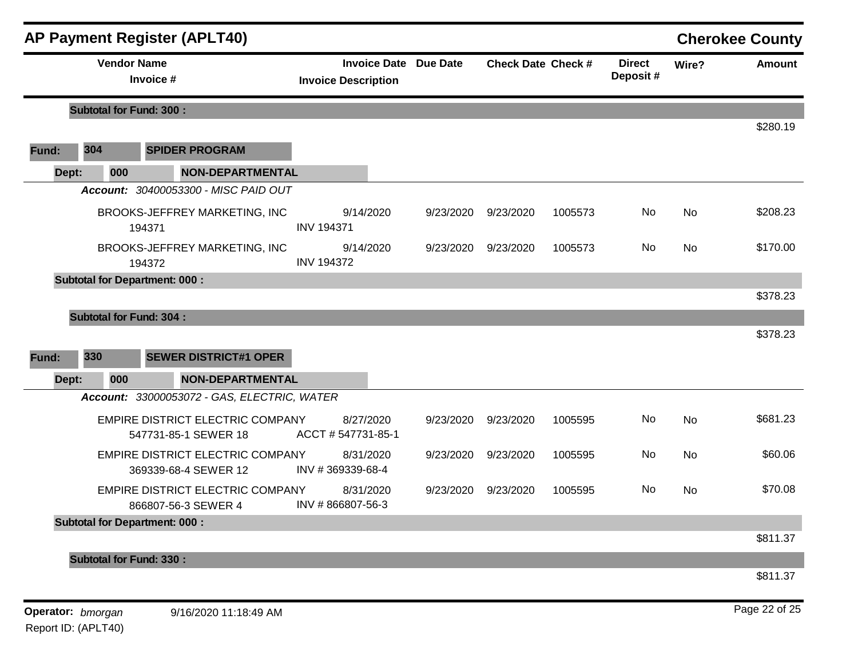|       |                                | <b>AP Payment Register (APLT40)</b>                      |                                                            |           |                           |         |                           |       | <b>Cherokee County</b> |
|-------|--------------------------------|----------------------------------------------------------|------------------------------------------------------------|-----------|---------------------------|---------|---------------------------|-------|------------------------|
|       | <b>Vendor Name</b>             | Invoice #                                                | <b>Invoice Date Due Date</b><br><b>Invoice Description</b> |           | <b>Check Date Check #</b> |         | <b>Direct</b><br>Deposit# | Wire? | <b>Amount</b>          |
|       | <b>Subtotal for Fund: 300:</b> |                                                          |                                                            |           |                           |         |                           |       |                        |
| Fund: | 304                            | <b>SPIDER PROGRAM</b>                                    |                                                            |           |                           |         |                           |       | \$280.19               |
| Dept: | 000                            | <b>NON-DEPARTMENTAL</b>                                  |                                                            |           |                           |         |                           |       |                        |
|       |                                | Account: 30400053300 - MISC PAID OUT                     |                                                            |           |                           |         |                           |       |                        |
|       |                                | BROOKS-JEFFREY MARKETING, INC<br>194371                  | 9/14/2020<br><b>INV 194371</b>                             | 9/23/2020 | 9/23/2020                 | 1005573 | No                        | No    | \$208.23               |
|       |                                | BROOKS-JEFFREY MARKETING, INC<br>194372                  | 9/14/2020<br><b>INV 194372</b>                             | 9/23/2020 | 9/23/2020                 | 1005573 | No                        | No    | \$170.00               |
|       |                                | <b>Subtotal for Department: 000:</b>                     |                                                            |           |                           |         |                           |       |                        |
|       |                                |                                                          |                                                            |           |                           |         |                           |       | \$378.23               |
|       | <b>Subtotal for Fund: 304:</b> |                                                          |                                                            |           |                           |         |                           |       |                        |
|       |                                |                                                          |                                                            |           |                           |         |                           |       | \$378.23               |
| Fund: | 330                            | <b>SEWER DISTRICT#1 OPER</b>                             |                                                            |           |                           |         |                           |       |                        |
| Dept: | 000                            | <b>NON-DEPARTMENTAL</b>                                  |                                                            |           |                           |         |                           |       |                        |
|       |                                | Account: 33000053072 - GAS, ELECTRIC, WATER              |                                                            |           |                           |         |                           |       |                        |
|       |                                | EMPIRE DISTRICT ELECTRIC COMPANY<br>547731-85-1 SEWER 18 | 8/27/2020<br>ACCT #547731-85-1                             | 9/23/2020 | 9/23/2020                 | 1005595 | No                        | No    | \$681.23               |
|       |                                | EMPIRE DISTRICT ELECTRIC COMPANY<br>369339-68-4 SEWER 12 | 8/31/2020<br>INV #369339-68-4                              | 9/23/2020 | 9/23/2020                 | 1005595 | No                        | No    | \$60.06                |
|       |                                | EMPIRE DISTRICT ELECTRIC COMPANY<br>866807-56-3 SEWER 4  | 8/31/2020<br>INV #866807-56-3                              | 9/23/2020 | 9/23/2020                 | 1005595 | No.                       | No    | \$70.08                |
|       |                                | <b>Subtotal for Department: 000:</b>                     |                                                            |           |                           |         |                           |       |                        |
|       |                                |                                                          |                                                            |           |                           |         |                           |       | \$811.37               |
|       | <b>Subtotal for Fund: 330:</b> |                                                          |                                                            |           |                           |         |                           |       |                        |
|       |                                |                                                          |                                                            |           |                           |         |                           |       | \$811.37               |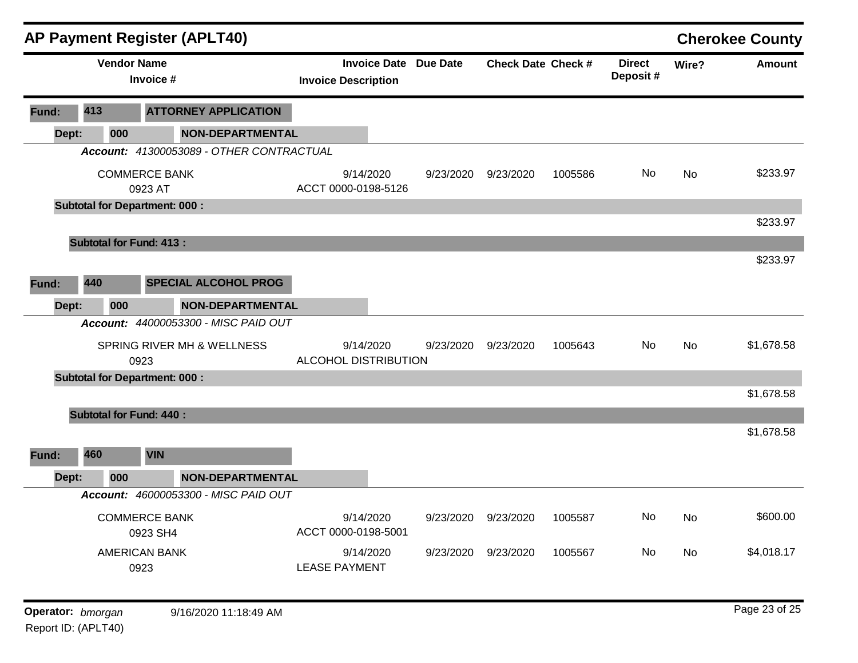|                   |     |                    | <b>AP Payment Register (APLT40)</b>      |                                                            |           |                           |         |                           |           | <b>Cherokee County</b> |
|-------------------|-----|--------------------|------------------------------------------|------------------------------------------------------------|-----------|---------------------------|---------|---------------------------|-----------|------------------------|
|                   |     | <b>Vendor Name</b> | Invoice #                                | <b>Invoice Date Due Date</b><br><b>Invoice Description</b> |           | <b>Check Date Check #</b> |         | <b>Direct</b><br>Deposit# | Wire?     | <b>Amount</b>          |
| Fund:             | 413 |                    | <b>ATTORNEY APPLICATION</b>              |                                                            |           |                           |         |                           |           |                        |
| Dept:             |     | 000                | <b>NON-DEPARTMENTAL</b>                  |                                                            |           |                           |         |                           |           |                        |
|                   |     |                    | Account: 41300053089 - OTHER CONTRACTUAL |                                                            |           |                           |         |                           |           |                        |
|                   |     |                    | <b>COMMERCE BANK</b><br>0923 AT          | 9/14/2020<br>ACCT 0000-0198-5126                           | 9/23/2020 | 9/23/2020                 | 1005586 | No                        | No        | \$233.97               |
|                   |     |                    | <b>Subtotal for Department: 000:</b>     |                                                            |           |                           |         |                           |           |                        |
|                   |     |                    |                                          |                                                            |           |                           |         |                           |           | \$233.97               |
|                   |     |                    | <b>Subtotal for Fund: 413:</b>           |                                                            |           |                           |         |                           |           |                        |
|                   |     |                    |                                          |                                                            |           |                           |         |                           |           | \$233.97               |
| Fund:             | 440 |                    | <b>SPECIAL ALCOHOL PROG</b>              |                                                            |           |                           |         |                           |           |                        |
| Dept:             |     | 000                | <b>NON-DEPARTMENTAL</b>                  |                                                            |           |                           |         |                           |           |                        |
|                   |     |                    | Account: 44000053300 - MISC PAID OUT     |                                                            |           |                           |         |                           |           |                        |
|                   |     |                    | SPRING RIVER MH & WELLNESS<br>0923       | 9/14/2020<br>ALCOHOL DISTRIBUTION                          | 9/23/2020 | 9/23/2020                 | 1005643 | No                        | <b>No</b> | \$1,678.58             |
|                   |     |                    | <b>Subtotal for Department: 000:</b>     |                                                            |           |                           |         |                           |           |                        |
|                   |     |                    |                                          |                                                            |           |                           |         |                           |           | \$1,678.58             |
|                   |     |                    | <b>Subtotal for Fund: 440:</b>           |                                                            |           |                           |         |                           |           |                        |
|                   |     |                    |                                          |                                                            |           |                           |         |                           |           | \$1,678.58             |
| Fund:             | 460 |                    | <b>VIN</b>                               |                                                            |           |                           |         |                           |           |                        |
| Dept:             |     | 000                | <b>NON-DEPARTMENTAL</b>                  |                                                            |           |                           |         |                           |           |                        |
|                   |     |                    | Account: 46000053300 - MISC PAID OUT     |                                                            |           |                           |         |                           |           |                        |
|                   |     |                    | <b>COMMERCE BANK</b><br>0923 SH4         | 9/14/2020<br>ACCT 0000-0198-5001                           | 9/23/2020 | 9/23/2020                 | 1005587 | No                        | No        | \$600.00               |
|                   |     |                    | <b>AMERICAN BANK</b><br>0923             | 9/14/2020<br><b>LEASE PAYMENT</b>                          |           | 9/23/2020 9/23/2020       | 1005567 | No                        | No        | \$4,018.17             |
| Operator: bmorgan |     |                    | 9/16/2020 11:18:49 AM                    |                                                            |           |                           |         |                           |           | Page 23 of 25          |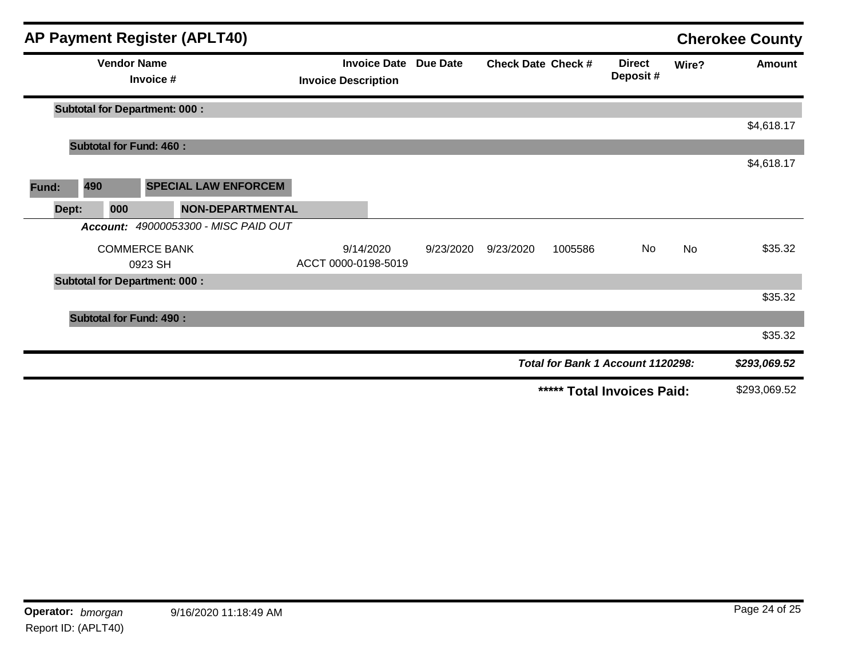|       |       |                    | <b>AP Payment Register (APLT40)</b>  |                            |                              |                           |         |                                   |       | <b>Cherokee County</b> |
|-------|-------|--------------------|--------------------------------------|----------------------------|------------------------------|---------------------------|---------|-----------------------------------|-------|------------------------|
|       |       | <b>Vendor Name</b> | Invoice #                            | <b>Invoice Description</b> | <b>Invoice Date Due Date</b> | <b>Check Date Check #</b> |         | <b>Direct</b><br>Deposit#         | Wire? | <b>Amount</b>          |
|       |       |                    | <b>Subtotal for Department: 000:</b> |                            |                              |                           |         |                                   |       |                        |
|       |       |                    |                                      |                            |                              |                           |         |                                   |       | \$4,618.17             |
|       |       |                    | <b>Subtotal for Fund: 460:</b>       |                            |                              |                           |         |                                   |       |                        |
|       |       |                    |                                      |                            |                              |                           |         |                                   |       | \$4,618.17             |
| Fund: | 490   |                    | <b>SPECIAL LAW ENFORCEM</b>          |                            |                              |                           |         |                                   |       |                        |
|       | Dept: | 000                | <b>NON-DEPARTMENTAL</b>              |                            |                              |                           |         |                                   |       |                        |
|       |       | Account:           | 49000053300 - MISC PAID OUT          |                            |                              |                           |         |                                   |       |                        |
|       |       |                    | <b>COMMERCE BANK</b>                 | 9/14/2020                  | 9/23/2020                    | 9/23/2020                 | 1005586 | No                                | No    | \$35.32                |
|       |       |                    | 0923 SH                              | ACCT 0000-0198-5019        |                              |                           |         |                                   |       |                        |
|       |       |                    | <b>Subtotal for Department: 000:</b> |                            |                              |                           |         |                                   |       |                        |
|       |       |                    |                                      |                            |                              |                           |         |                                   |       | \$35.32                |
|       |       |                    | <b>Subtotal for Fund: 490:</b>       |                            |                              |                           |         |                                   |       |                        |
|       |       |                    |                                      |                            |                              |                           |         |                                   |       | \$35.32                |
|       |       |                    |                                      |                            |                              |                           |         | Total for Bank 1 Account 1120298: |       | \$293,069.52           |
|       |       |                    |                                      |                            |                              |                           |         | ***** Total Invoices Paid:        |       | \$293,069.52           |